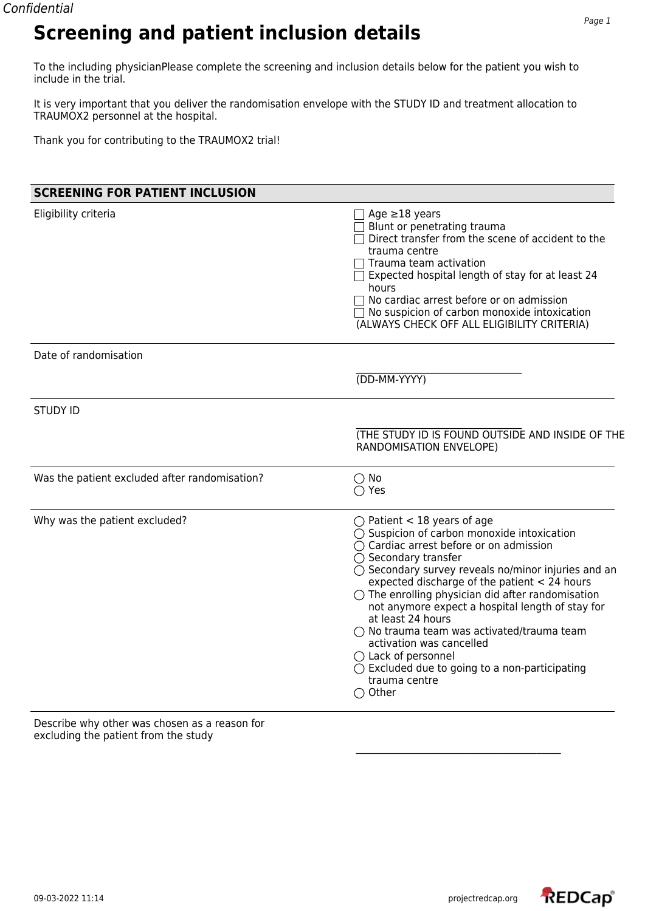## **Screening and patient inclusion details**

To the including physicianPlease complete the screening and inclusion details below for the patient you wish to include in the trial.

It is very important that you deliver the randomisation envelope with the STUDY ID and treatment allocation to TRAUMOX2 personnel at the hospital.

Thank you for contributing to the TRAUMOX2 trial!

| <b>SCREENING FOR PATIENT INCLUSION</b>        |                                                                                                                                                                                                                                                                                                                                                                                                                                                                                                                                                                                                                                    |
|-----------------------------------------------|------------------------------------------------------------------------------------------------------------------------------------------------------------------------------------------------------------------------------------------------------------------------------------------------------------------------------------------------------------------------------------------------------------------------------------------------------------------------------------------------------------------------------------------------------------------------------------------------------------------------------------|
| Eligibility criteria                          | Age $\geq$ 18 years<br>Blunt or penetrating trauma<br>$\Box$ Direct transfer from the scene of accident to the<br>trauma centre<br>Trauma team activation<br>$\exists$ Expected hospital length of stay for at least 24<br>hours<br>No cardiac arrest before or on admission<br>$\Box$ No suspicion of carbon monoxide intoxication<br>(ALWAYS CHECK OFF ALL ELIGIBILITY CRITERIA)                                                                                                                                                                                                                                                 |
| Date of randomisation                         |                                                                                                                                                                                                                                                                                                                                                                                                                                                                                                                                                                                                                                    |
|                                               | (DD-MM-YYYY)                                                                                                                                                                                                                                                                                                                                                                                                                                                                                                                                                                                                                       |
| <b>STUDY ID</b>                               |                                                                                                                                                                                                                                                                                                                                                                                                                                                                                                                                                                                                                                    |
|                                               | (THE STUDY ID IS FOUND OUTSIDE AND INSIDE OF THE<br>RANDOMISATION ENVELOPE)                                                                                                                                                                                                                                                                                                                                                                                                                                                                                                                                                        |
| Was the patient excluded after randomisation? | $\bigcirc$ No<br>$\bigcirc$ Yes                                                                                                                                                                                                                                                                                                                                                                                                                                                                                                                                                                                                    |
| Why was the patient excluded?                 | $\bigcirc$ Patient < 18 years of age<br>◯ Suspicion of carbon monoxide intoxication<br>◯ Cardiac arrest before or on admission<br>$\bigcirc$ Secondary transfer<br>$\bigcirc$ Secondary survey reveals no/minor injuries and an<br>expected discharge of the patient $<$ 24 hours<br>$\bigcirc$ The enrolling physician did after randomisation<br>not anymore expect a hospital length of stay for<br>at least 24 hours<br>○ No trauma team was activated/trauma team<br>activation was cancelled<br>$\bigcirc$ Lack of personnel<br>$\bigcirc$ Excluded due to going to a non-participating<br>trauma centre<br>$\bigcirc$ Other |

Describe why other was chosen as a reason for excluding the patient from the study

REDCap®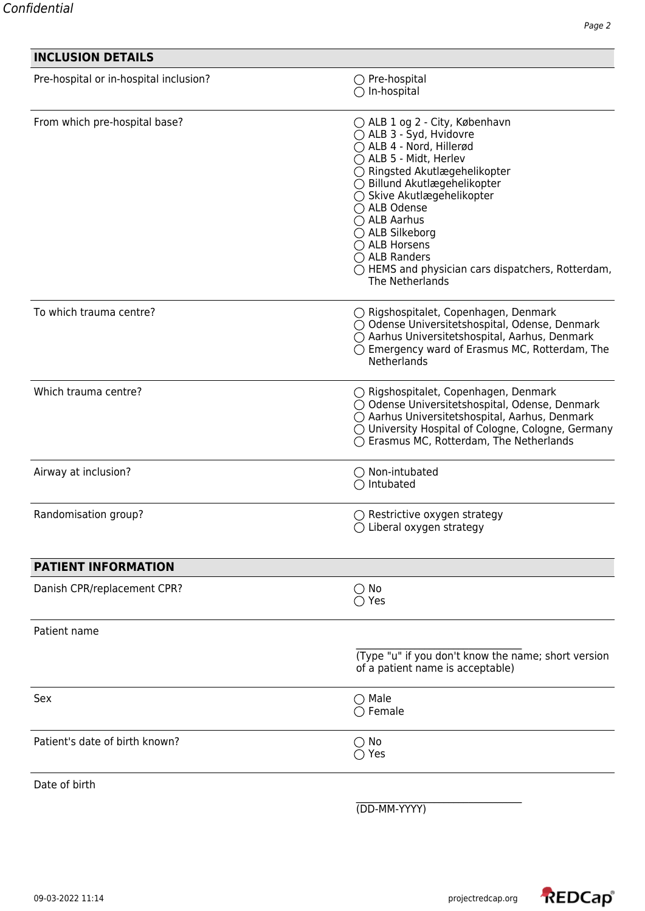| <b>INCLUSION DETAILS</b>               |                                                                                                                                                                                                                                                                                                                                                                                     |
|----------------------------------------|-------------------------------------------------------------------------------------------------------------------------------------------------------------------------------------------------------------------------------------------------------------------------------------------------------------------------------------------------------------------------------------|
| Pre-hospital or in-hospital inclusion? | ○ Pre-hospital<br>$\bigcirc$ In-hospital                                                                                                                                                                                                                                                                                                                                            |
| From which pre-hospital base?          | ◯ ALB 1 og 2 - City, København<br>○ ALB 3 - Syd, Hvidovre<br>◯ ALB 4 - Nord, Hillerød<br>◯ ALB 5 - Midt, Herlev<br>○ Ringsted Akutlægehelikopter<br>◯ Billund Akutlægehelikopter<br>○ Skive Akutlægehelikopter<br>◯ ALB Odense<br>◯ ALB Aarhus<br>◯ ALB Silkeborg<br>◯ ALB Horsens<br>$\bigcap$ ALB Randers<br>◯ HEMS and physician cars dispatchers, Rotterdam,<br>The Netherlands |
| To which trauma centre?                | ○ Rigshospitalet, Copenhagen, Denmark<br>○ Odense Universitetshospital, Odense, Denmark<br>○ Aarhus Universitetshospital, Aarhus, Denmark<br>◯ Emergency ward of Erasmus MC, Rotterdam, The<br>Netherlands                                                                                                                                                                          |
| Which trauma centre?                   | ○ Rigshospitalet, Copenhagen, Denmark<br>○ Odense Universitetshospital, Odense, Denmark<br>○ Aarhus Universitetshospital, Aarhus, Denmark<br>◯ University Hospital of Cologne, Cologne, Germany<br>◯ Erasmus MC, Rotterdam, The Netherlands                                                                                                                                         |
| Airway at inclusion?                   | $\bigcirc$ Non-intubated<br>Intubated                                                                                                                                                                                                                                                                                                                                               |
| Randomisation group?                   | $\bigcirc$ Restrictive oxygen strategy<br>$\bigcirc$ Liberal oxygen strategy                                                                                                                                                                                                                                                                                                        |
| <b>PATIENT INFORMATION</b>             |                                                                                                                                                                                                                                                                                                                                                                                     |
| Danish CPR/replacement CPR?            | $\bigcirc$ No<br>$\bigcirc$ Yes                                                                                                                                                                                                                                                                                                                                                     |
| Patient name                           |                                                                                                                                                                                                                                                                                                                                                                                     |
|                                        | (Type "u" if you don't know the name; short version<br>of a patient name is acceptable)                                                                                                                                                                                                                                                                                             |
| Sex                                    | $\bigcirc$ Male<br>$\bigcirc$ Female                                                                                                                                                                                                                                                                                                                                                |
| Patient's date of birth known?         | $\bigcirc$ No<br>$\bigcirc$ Yes                                                                                                                                                                                                                                                                                                                                                     |
| Date of birth                          |                                                                                                                                                                                                                                                                                                                                                                                     |

(DD-MM-YYYY)

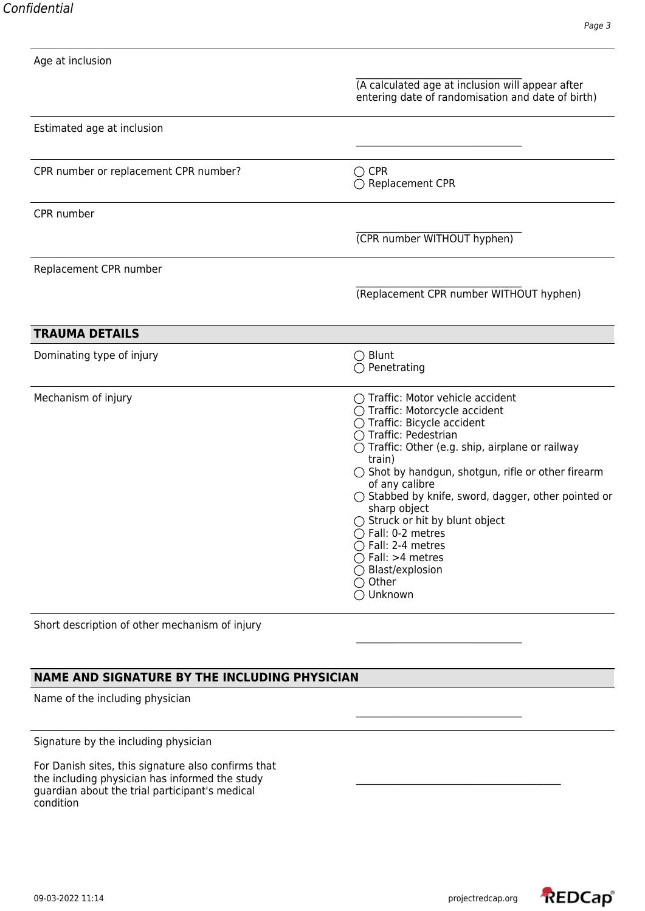| Age at inclusion                      |                                                                                                                                                                                                                                                                                                                                                                                                                                                                                                                                                                     |
|---------------------------------------|---------------------------------------------------------------------------------------------------------------------------------------------------------------------------------------------------------------------------------------------------------------------------------------------------------------------------------------------------------------------------------------------------------------------------------------------------------------------------------------------------------------------------------------------------------------------|
|                                       | (A calculated age at inclusion will appear after<br>entering date of randomisation and date of birth)                                                                                                                                                                                                                                                                                                                                                                                                                                                               |
| Estimated age at inclusion            |                                                                                                                                                                                                                                                                                                                                                                                                                                                                                                                                                                     |
| CPR number or replacement CPR number? | $\bigcirc$ CPR<br>◯ Replacement CPR                                                                                                                                                                                                                                                                                                                                                                                                                                                                                                                                 |
| CPR number                            |                                                                                                                                                                                                                                                                                                                                                                                                                                                                                                                                                                     |
|                                       | (CPR number WITHOUT hyphen)                                                                                                                                                                                                                                                                                                                                                                                                                                                                                                                                         |
| Replacement CPR number                |                                                                                                                                                                                                                                                                                                                                                                                                                                                                                                                                                                     |
|                                       | (Replacement CPR number WITHOUT hyphen)                                                                                                                                                                                                                                                                                                                                                                                                                                                                                                                             |
| <b>TRAUMA DETAILS</b>                 |                                                                                                                                                                                                                                                                                                                                                                                                                                                                                                                                                                     |
| Dominating type of injury             | $\bigcirc$ Blunt<br>$\bigcirc$ Penetrating                                                                                                                                                                                                                                                                                                                                                                                                                                                                                                                          |
| Mechanism of injury                   | ◯ Traffic: Motor vehicle accident<br>◯ Traffic: Motorcycle accident<br>$\overline{O}$ Traffic: Bicycle accident<br>◯ Traffic: Pedestrian<br>$\bigcirc$ Traffic: Other (e.g. ship, airplane or railway<br>train)<br>$\bigcirc$ Shot by handgun, shotgun, rifle or other firearm<br>of any calibre<br>$\bigcirc$ Stabbed by knife, sword, dagger, other pointed or<br>sharp object<br>$\bigcirc$ Struck or hit by blunt object<br>$\bigcirc$ Fall: 0-2 metres<br>$\bigcap$ Fall: 2-4 metres<br>$\bigcap$ Fall: >4 metres<br>◯ Blast/explosion<br>◯ Other<br>◯ Unknown |

Short description of other mechanism of injury

### **NAME AND SIGNATURE BY THE INCLUDING PHYSICIAN**

Name of the including physician

Signature by the including physician

For Danish sites, this signature also confirms that the including physician has informed the study guardian about the trial participant's medical condition

\_\_\_\_\_\_\_\_\_\_\_\_\_\_\_\_\_\_\_\_\_\_\_\_\_\_\_\_\_\_\_\_\_\_

\_\_\_\_\_\_\_\_\_\_\_\_\_\_\_\_\_\_\_\_\_\_\_\_\_\_\_\_\_\_\_\_\_\_

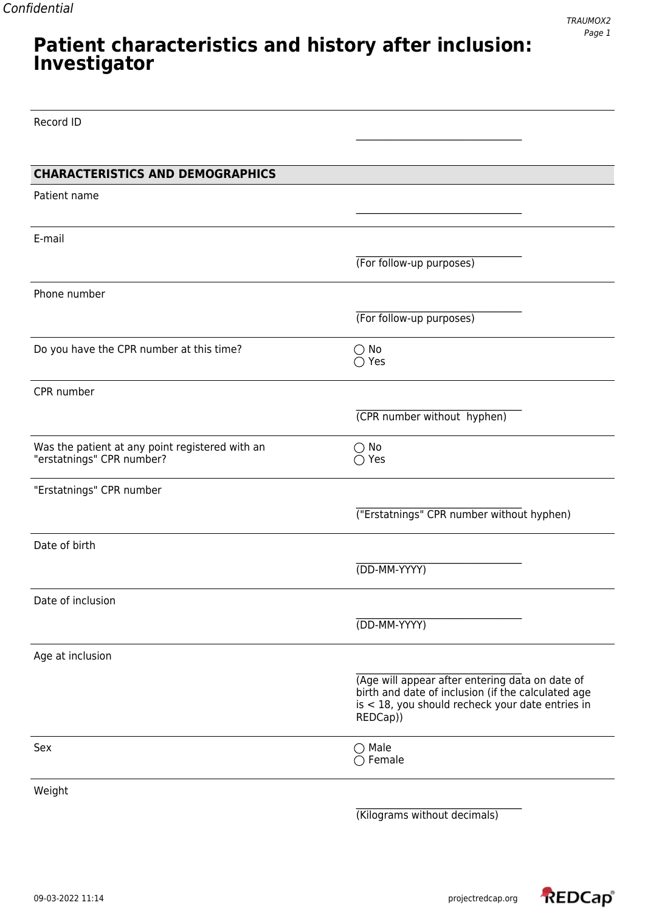### **Patient characteristics and history after inclusion: Investigator**

Record ID

| <b>CHARACTERISTICS AND DEMOGRAPHICS</b>                                      |                                                                                                        |
|------------------------------------------------------------------------------|--------------------------------------------------------------------------------------------------------|
| Patient name                                                                 |                                                                                                        |
|                                                                              |                                                                                                        |
|                                                                              |                                                                                                        |
| E-mail                                                                       |                                                                                                        |
|                                                                              | (For follow-up purposes)                                                                               |
| Phone number                                                                 |                                                                                                        |
|                                                                              |                                                                                                        |
|                                                                              | (For follow-up purposes)                                                                               |
| Do you have the CPR number at this time?                                     | $\bigcirc$ No                                                                                          |
|                                                                              | $\bigcirc$ Yes                                                                                         |
|                                                                              |                                                                                                        |
| CPR number                                                                   |                                                                                                        |
|                                                                              | (CPR number without hyphen)                                                                            |
|                                                                              |                                                                                                        |
| Was the patient at any point registered with an<br>"erstatnings" CPR number? | $\bigcirc$ No<br>$\bigcirc$ Yes                                                                        |
|                                                                              |                                                                                                        |
| "Erstatnings" CPR number                                                     |                                                                                                        |
|                                                                              | ("Erstatnings" CPR number without hyphen)                                                              |
|                                                                              |                                                                                                        |
| Date of birth                                                                |                                                                                                        |
|                                                                              | (DD-MM-YYYY)                                                                                           |
|                                                                              |                                                                                                        |
| Date of inclusion                                                            |                                                                                                        |
|                                                                              | (DD-MM-YYYY)                                                                                           |
|                                                                              |                                                                                                        |
| Age at inclusion                                                             |                                                                                                        |
|                                                                              | (Age will appear after entering data on date of                                                        |
|                                                                              | birth and date of inclusion (if the calculated age<br>is < 18, you should recheck your date entries in |
|                                                                              | REDCap))                                                                                               |
|                                                                              |                                                                                                        |
| Sex                                                                          | $\bigcirc$ Male<br>$\bigcirc$ Female                                                                   |
|                                                                              |                                                                                                        |
| Weight                                                                       |                                                                                                        |
|                                                                              | (Kilograms without decimals)                                                                           |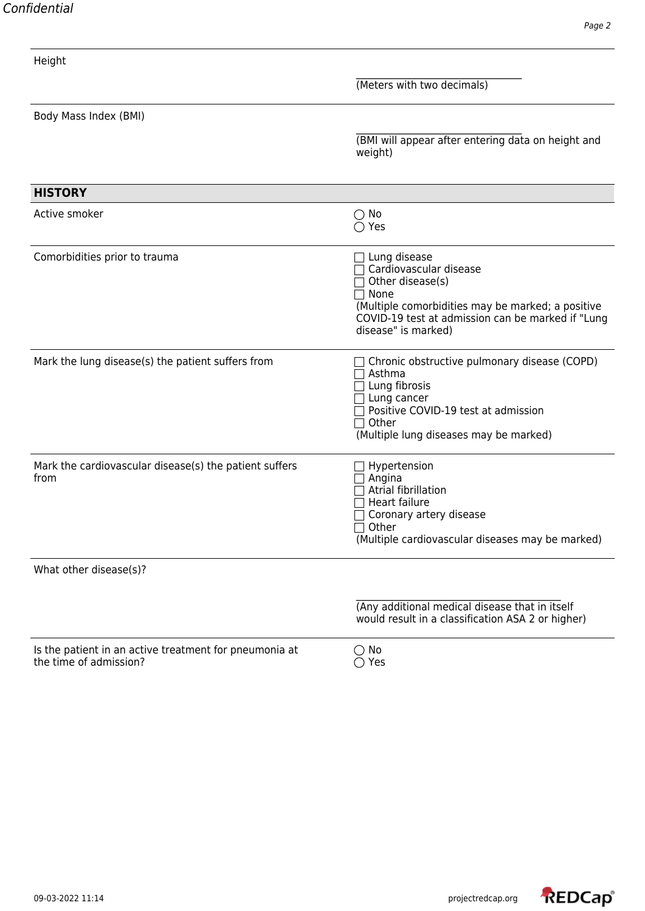| Confidential |
|--------------|
|              |

| Height                                                                           |                                                                                                                                                                                                              |
|----------------------------------------------------------------------------------|--------------------------------------------------------------------------------------------------------------------------------------------------------------------------------------------------------------|
|                                                                                  | (Meters with two decimals)                                                                                                                                                                                   |
| Body Mass Index (BMI)                                                            |                                                                                                                                                                                                              |
|                                                                                  | (BMI will appear after entering data on height and<br>weight)                                                                                                                                                |
| <b>HISTORY</b>                                                                   |                                                                                                                                                                                                              |
| Active smoker                                                                    | $\bigcirc$ No<br>$\bigcirc$ Yes                                                                                                                                                                              |
| Comorbidities prior to trauma                                                    | Lung disease<br>Cardiovascular disease<br>Other disease(s)<br>$\sqcap$ None<br>(Multiple comorbidities may be marked; a positive<br>COVID-19 test at admission can be marked if "Lung<br>disease" is marked) |
| Mark the lung disease(s) the patient suffers from                                | Chronic obstructive pulmonary disease (COPD)<br>Asthma<br>Lung fibrosis<br>Lung cancer<br>Positive COVID-19 test at admission<br>Other<br>(Multiple lung diseases may be marked)                             |
| Mark the cardiovascular disease(s) the patient suffers<br>from                   | Hypertension<br>Angina<br>Atrial fibrillation<br>Heart failure<br>Coronary artery disease<br>Other<br>(Multiple cardiovascular diseases may be marked)                                                       |
| What other disease(s)?                                                           |                                                                                                                                                                                                              |
|                                                                                  | (Any additional medical disease that in itself<br>would result in a classification ASA 2 or higher)                                                                                                          |
| Is the patient in an active treatment for pneumonia at<br>the time of admission? | $\bigcirc$ No<br>$\bigcirc$ Yes                                                                                                                                                                              |

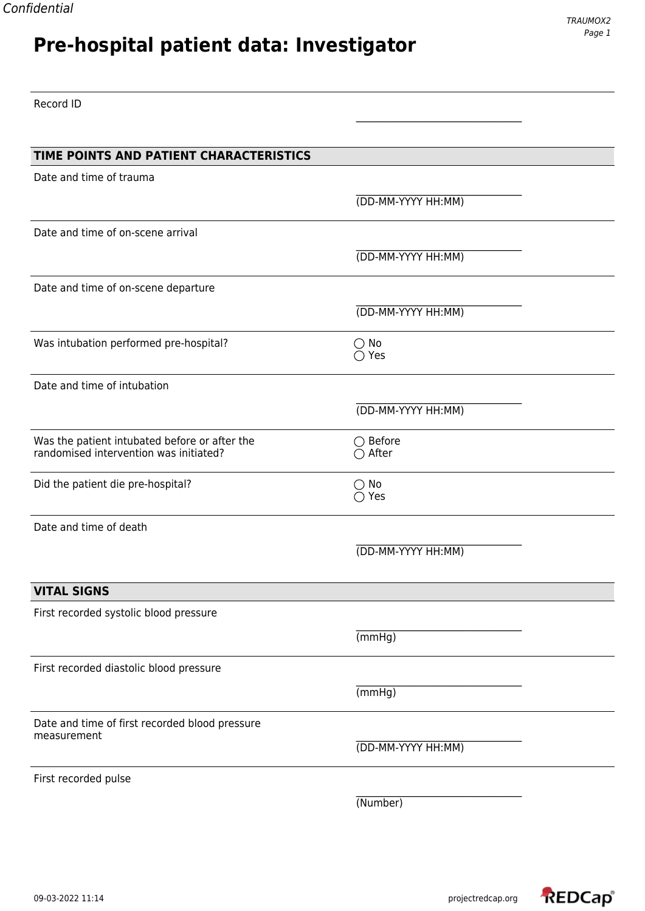# **Pre-hospital patient data: Investigator**

\_\_\_\_\_\_\_\_\_\_\_\_\_\_\_\_\_\_\_\_\_\_\_\_\_\_\_\_\_\_\_\_\_\_

Record ID

| TIME POINTS AND PATIENT CHARACTERISTICS                       |                    |  |
|---------------------------------------------------------------|--------------------|--|
| Date and time of trauma                                       |                    |  |
|                                                               | (DD-MM-YYYY HH:MM) |  |
| Date and time of on-scene arrival                             |                    |  |
|                                                               |                    |  |
|                                                               | (DD-MM-YYYY HH:MM) |  |
| Date and time of on-scene departure                           |                    |  |
|                                                               | (DD-MM-YYYY HH:MM) |  |
| Was intubation performed pre-hospital?                        | $\bigcirc$ No      |  |
|                                                               | $\bigcirc$ Yes     |  |
| Date and time of intubation                                   |                    |  |
|                                                               | (DD-MM-YYYY HH:MM) |  |
| Was the patient intubated before or after the                 | $\bigcirc$ Before  |  |
| randomised intervention was initiated?                        | $\bigcirc$ After   |  |
| Did the patient die pre-hospital?                             | $\bigcirc$ No      |  |
|                                                               | $\bigcirc$ Yes     |  |
| Date and time of death                                        |                    |  |
|                                                               | (DD-MM-YYYY HH:MM) |  |
|                                                               |                    |  |
| <b>VITAL SIGNS</b>                                            |                    |  |
| First recorded systolic blood pressure                        |                    |  |
|                                                               | (mmHg)             |  |
| First recorded diastolic blood pressure                       |                    |  |
|                                                               | (mmHg)             |  |
|                                                               |                    |  |
| Date and time of first recorded blood pressure<br>measurement |                    |  |
|                                                               | (DD-MM-YYYY HH:MM) |  |
| First recorded pulse                                          |                    |  |
|                                                               | (Number)           |  |
|                                                               |                    |  |

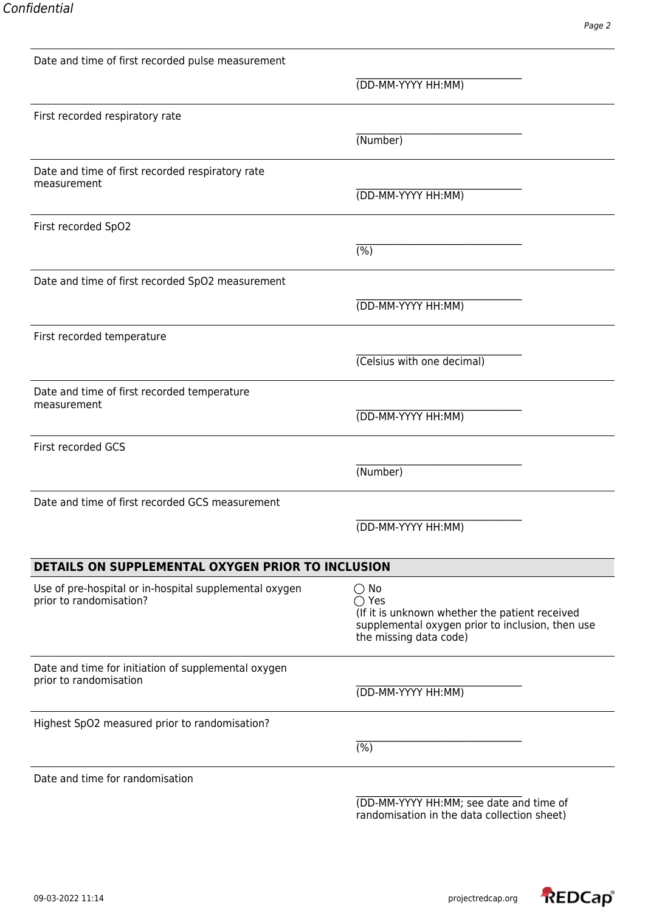| Date and time of first recorded pulse measurement                                 |                                                                                                                                                                 |
|-----------------------------------------------------------------------------------|-----------------------------------------------------------------------------------------------------------------------------------------------------------------|
|                                                                                   | (DD-MM-YYYY HH:MM)                                                                                                                                              |
| First recorded respiratory rate                                                   |                                                                                                                                                                 |
|                                                                                   | (Number)                                                                                                                                                        |
| Date and time of first recorded respiratory rate                                  |                                                                                                                                                                 |
| measurement                                                                       | (DD-MM-YYYY HH:MM)                                                                                                                                              |
| First recorded SpO2                                                               |                                                                                                                                                                 |
|                                                                                   | $\overline{(\%)}$                                                                                                                                               |
| Date and time of first recorded SpO2 measurement                                  |                                                                                                                                                                 |
|                                                                                   | (DD-MM-YYYY HH:MM)                                                                                                                                              |
| First recorded temperature                                                        |                                                                                                                                                                 |
|                                                                                   | (Celsius with one decimal)                                                                                                                                      |
| Date and time of first recorded temperature                                       |                                                                                                                                                                 |
| measurement                                                                       | (DD-MM-YYYY HH:MM)                                                                                                                                              |
| First recorded GCS                                                                |                                                                                                                                                                 |
|                                                                                   | (Number)                                                                                                                                                        |
| Date and time of first recorded GCS measurement                                   |                                                                                                                                                                 |
|                                                                                   | (DD-MM-YYYY HH:MM)                                                                                                                                              |
| DETAILS ON SUPPLEMENTAL OXYGEN PRIOR TO INCLUSION                                 |                                                                                                                                                                 |
| Use of pre-hospital or in-hospital supplemental oxygen<br>prior to randomisation? | $\bigcirc$ No<br>$\bigcirc$ Yes<br>(If it is unknown whether the patient received<br>supplemental oxygen prior to inclusion, then use<br>the missing data code) |
| Date and time for initiation of supplemental oxygen<br>prior to randomisation     | (DD-MM-YYYY HH:MM)                                                                                                                                              |
| Highest SpO2 measured prior to randomisation?                                     |                                                                                                                                                                 |
|                                                                                   | $\overline{(\%)}$                                                                                                                                               |
| Date and time for randomisation                                                   |                                                                                                                                                                 |
|                                                                                   | (DD-MM-YYYY HH:MM; see date and time of                                                                                                                         |



randomisation in the data collection sheet)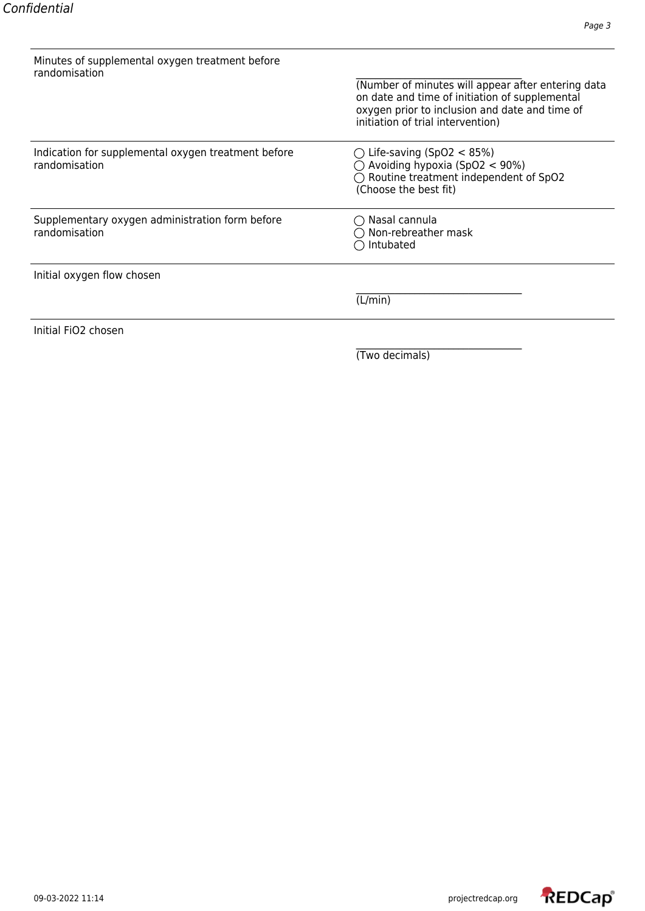| Minutes of supplemental oxygen treatment before<br>randomisation     | (Number of minutes will appear after entering data<br>on date and time of initiation of supplemental<br>oxygen prior to inclusion and date and time of<br>initiation of trial intervention) |
|----------------------------------------------------------------------|---------------------------------------------------------------------------------------------------------------------------------------------------------------------------------------------|
| Indication for supplemental oxygen treatment before<br>randomisation | $\bigcirc$ Life-saving (SpO2 < 85%)<br>$\bigcirc$ Avoiding hypoxia (SpO2 < 90%)<br>$\bigcirc$ Routine treatment independent of SpO2<br>(Choose the best fit)                                |
| Supplementary oxygen administration form before<br>randomisation     | $\bigcirc$ Nasal cannula<br>) Non-rebreather mask<br>Intubated                                                                                                                              |
| Initial oxygen flow chosen                                           |                                                                                                                                                                                             |
|                                                                      | (L/min)                                                                                                                                                                                     |
| Initial FiO2 chosen                                                  |                                                                                                                                                                                             |

(Two decimals)

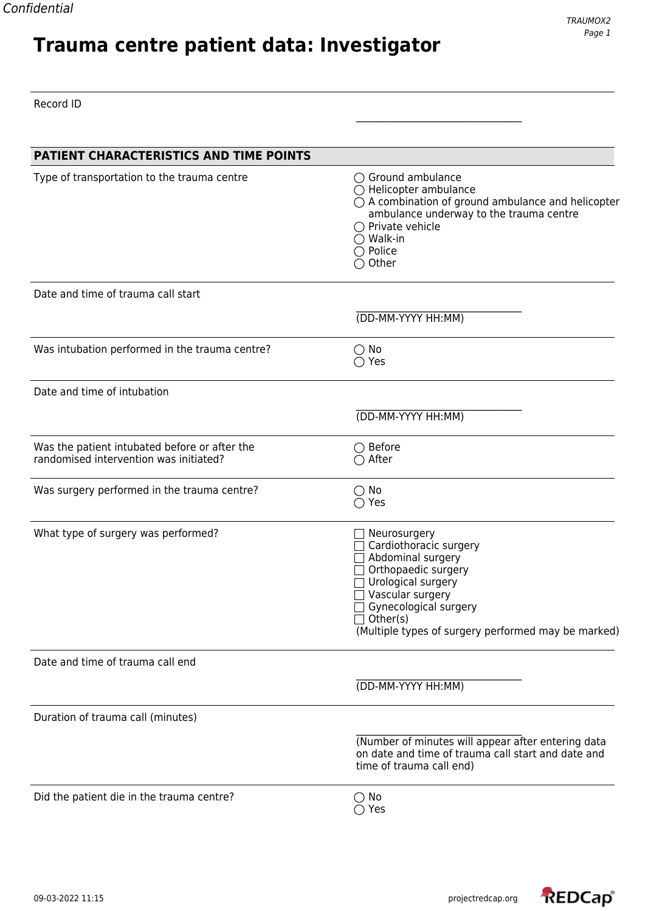# **Trauma centre patient data: Investigator**

\_\_\_\_\_\_\_\_\_\_\_\_\_\_\_\_\_\_\_\_\_\_\_\_\_\_\_\_\_\_\_\_\_\_

Record ID

| PATIENT CHARACTERISTICS AND TIME POINTS                                                 |                                                                                                                                                                                                                                                                       |
|-----------------------------------------------------------------------------------------|-----------------------------------------------------------------------------------------------------------------------------------------------------------------------------------------------------------------------------------------------------------------------|
| Type of transportation to the trauma centre                                             | $\bigcirc$ Ground ambulance<br>$\bigcirc$ Helicopter ambulance<br>$\bigcirc$ A combination of ground ambulance and helicopter<br>ambulance underway to the trauma centre<br>$\bigcirc$ Private vehicle<br>$\bigcirc$ Walk-in<br>$\bigcirc$ Police<br>$\bigcirc$ Other |
| Date and time of trauma call start                                                      |                                                                                                                                                                                                                                                                       |
|                                                                                         | (DD-MM-YYYY HH:MM)                                                                                                                                                                                                                                                    |
| Was intubation performed in the trauma centre?                                          | $\bigcirc$ No<br>$\bigcirc$ Yes                                                                                                                                                                                                                                       |
| Date and time of intubation                                                             |                                                                                                                                                                                                                                                                       |
|                                                                                         | (DD-MM-YYYY HH:MM)                                                                                                                                                                                                                                                    |
| Was the patient intubated before or after the<br>randomised intervention was initiated? | $\bigcirc$ Before<br>$\bigcirc$ After                                                                                                                                                                                                                                 |
| Was surgery performed in the trauma centre?                                             | $\bigcirc$ No<br>$\bigcirc$ Yes                                                                                                                                                                                                                                       |
| What type of surgery was performed?                                                     | Neurosurgery<br>Cardiothoracic surgery<br>Abdominal surgery<br>Orthopaedic surgery<br>Urological surgery<br>Vascular surgery<br>Gynecological surgery<br>$\Box$ Other(s)<br>(Multiple types of surgery performed may be marked)                                       |
| Date and time of trauma call end                                                        |                                                                                                                                                                                                                                                                       |
|                                                                                         | (DD-MM-YYYY HH:MM)                                                                                                                                                                                                                                                    |
| Duration of trauma call (minutes)                                                       |                                                                                                                                                                                                                                                                       |
|                                                                                         | (Number of minutes will appear after entering data<br>on date and time of trauma call start and date and<br>time of trauma call end)                                                                                                                                  |
| Did the patient die in the trauma centre?                                               | $\bigcirc$ No<br>$\bigcirc$ Yes                                                                                                                                                                                                                                       |

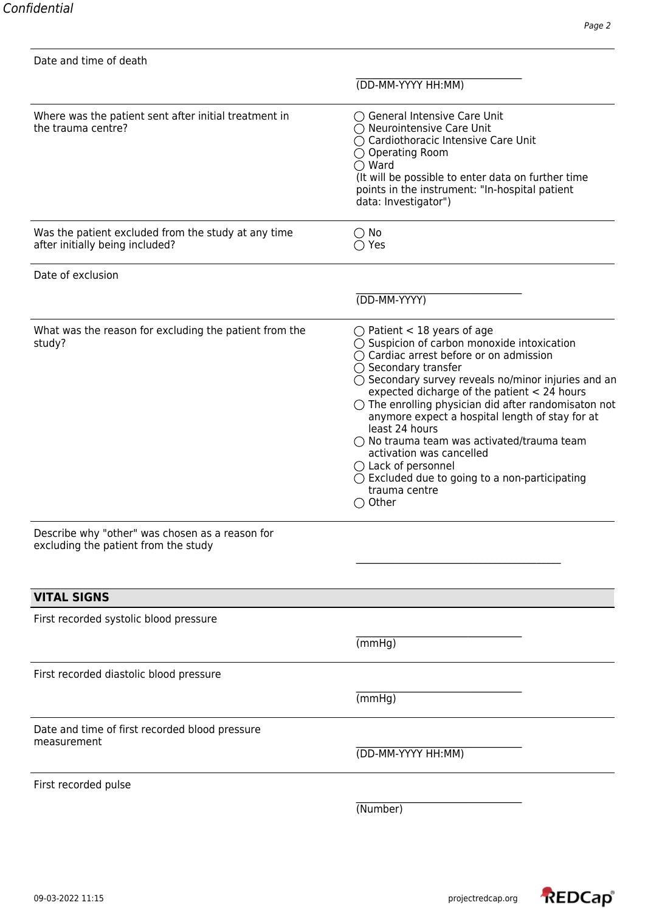| Date and time of death                                                                  |                                                                                                                                                                                                                                                                                                                                                                                                                                                                                                                                                                                                                                                           |
|-----------------------------------------------------------------------------------------|-----------------------------------------------------------------------------------------------------------------------------------------------------------------------------------------------------------------------------------------------------------------------------------------------------------------------------------------------------------------------------------------------------------------------------------------------------------------------------------------------------------------------------------------------------------------------------------------------------------------------------------------------------------|
|                                                                                         | (DD-MM-YYYY HH:MM)                                                                                                                                                                                                                                                                                                                                                                                                                                                                                                                                                                                                                                        |
| Where was the patient sent after initial treatment in<br>the trauma centre?             | $\bigcirc$ General Intensive Care Unit<br>$\bigcirc$ Neurointensive Care Unit<br>◯ Cardiothoracic Intensive Care Unit<br>$\bigcirc$ Operating Room<br>$\bigcirc$ Ward<br>(It will be possible to enter data on further time<br>points in the instrument: "In-hospital patient<br>data: Investigator")                                                                                                                                                                                                                                                                                                                                                     |
| Was the patient excluded from the study at any time<br>after initially being included?  | $\bigcirc$ No<br>$\bigcirc$ Yes                                                                                                                                                                                                                                                                                                                                                                                                                                                                                                                                                                                                                           |
| Date of exclusion                                                                       |                                                                                                                                                                                                                                                                                                                                                                                                                                                                                                                                                                                                                                                           |
|                                                                                         | (DD-MM-YYYY)                                                                                                                                                                                                                                                                                                                                                                                                                                                                                                                                                                                                                                              |
| What was the reason for excluding the patient from the<br>study?                        | $\bigcirc$ Patient < 18 years of age<br>$\bigcirc$ Suspicion of carbon monoxide intoxication<br>$\bigcirc$ Cardiac arrest before or on admission<br>$\bigcirc$ Secondary transfer<br>$\bigcirc$ Secondary survey reveals no/minor injuries and an<br>expected dicharge of the patient < 24 hours<br>$\bigcirc$ The enrolling physician did after randomisaton not<br>anymore expect a hospital length of stay for at<br>least 24 hours<br>$\bigcirc$ No trauma team was activated/trauma team<br>activation was cancelled<br>$\bigcirc$ Lack of personnel<br>$\bigcirc$ Excluded due to going to a non-participating<br>trauma centre<br>$\bigcirc$ Other |
| Describe why "other" was chosen as a reason for<br>excluding the patient from the study |                                                                                                                                                                                                                                                                                                                                                                                                                                                                                                                                                                                                                                                           |
| <b>VITAL SIGNS</b>                                                                      |                                                                                                                                                                                                                                                                                                                                                                                                                                                                                                                                                                                                                                                           |
| First recorded systolic blood pressure                                                  |                                                                                                                                                                                                                                                                                                                                                                                                                                                                                                                                                                                                                                                           |
|                                                                                         | (mmHg)                                                                                                                                                                                                                                                                                                                                                                                                                                                                                                                                                                                                                                                    |
| First recorded diastolic blood pressure                                                 |                                                                                                                                                                                                                                                                                                                                                                                                                                                                                                                                                                                                                                                           |
|                                                                                         | (mmHg)                                                                                                                                                                                                                                                                                                                                                                                                                                                                                                                                                                                                                                                    |
| Date and time of first recorded blood pressure<br>measurement                           | (DD-MM-YYYY HH:MM)                                                                                                                                                                                                                                                                                                                                                                                                                                                                                                                                                                                                                                        |
| First recorded pulse                                                                    |                                                                                                                                                                                                                                                                                                                                                                                                                                                                                                                                                                                                                                                           |
|                                                                                         | (Number)                                                                                                                                                                                                                                                                                                                                                                                                                                                                                                                                                                                                                                                  |
|                                                                                         |                                                                                                                                                                                                                                                                                                                                                                                                                                                                                                                                                                                                                                                           |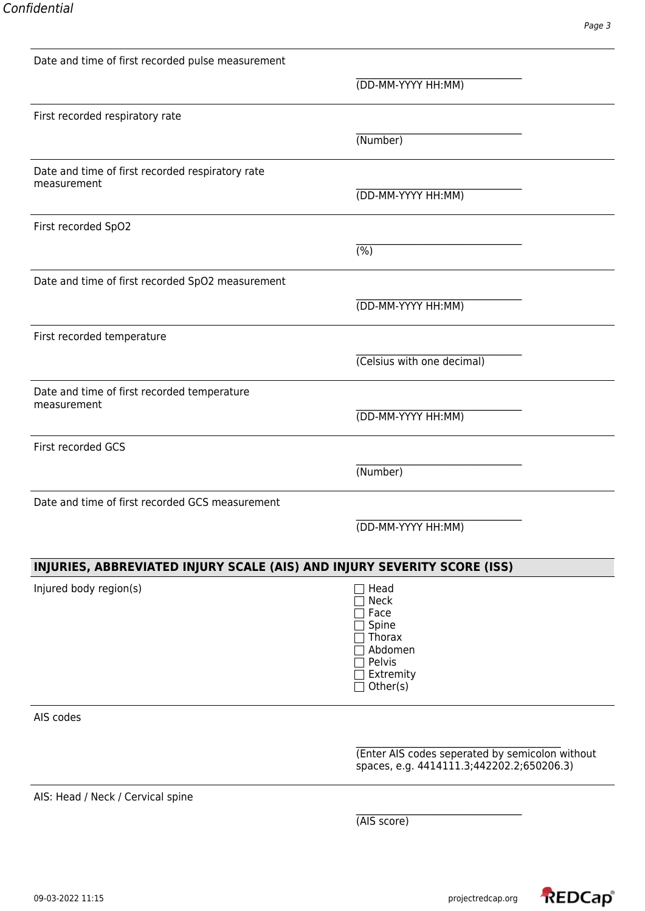| Date and time of first recorded pulse measurement                        |                                                                                              |
|--------------------------------------------------------------------------|----------------------------------------------------------------------------------------------|
|                                                                          | (DD-MM-YYYY HH:MM)                                                                           |
| First recorded respiratory rate                                          |                                                                                              |
|                                                                          | (Number)                                                                                     |
| Date and time of first recorded respiratory rate                         |                                                                                              |
| measurement                                                              | (DD-MM-YYYY HH:MM)                                                                           |
| First recorded SpO2                                                      |                                                                                              |
|                                                                          | $\overline{(\%)}$                                                                            |
| Date and time of first recorded SpO2 measurement                         |                                                                                              |
|                                                                          | (DD-MM-YYYY HH:MM)                                                                           |
| First recorded temperature                                               |                                                                                              |
|                                                                          | (Celsius with one decimal)                                                                   |
| Date and time of first recorded temperature                              |                                                                                              |
| measurement                                                              | (DD-MM-YYYY HH:MM)                                                                           |
| First recorded GCS                                                       |                                                                                              |
|                                                                          | (Number)                                                                                     |
| Date and time of first recorded GCS measurement                          |                                                                                              |
|                                                                          | (DD-MM-YYYY HH:MM)                                                                           |
| INJURIES, ABBREVIATED INJURY SCALE (AIS) AND INJURY SEVERITY SCORE (ISS) |                                                                                              |
| Injured body region(s)                                                   | Head<br><b>Neck</b><br>Face<br>Spine<br>Thorax<br>Abdomen<br>Pelvis<br>Extremity<br>Other(s) |
| AIS codes                                                                |                                                                                              |
|                                                                          | (Enter AIS codes seperated by semicolon without<br>spaces, e.g. 4414111.3;442202.2;650206.3) |
| AIS: Head / Neck / Cervical spine                                        |                                                                                              |
|                                                                          | (AIS score)                                                                                  |
|                                                                          |                                                                                              |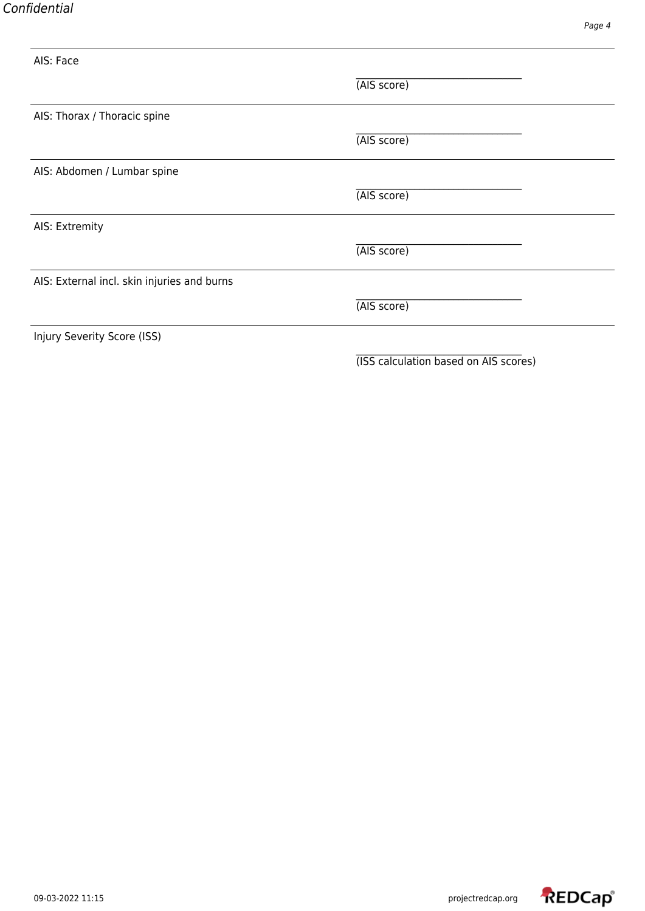| AIS: Face                                   |             |  |
|---------------------------------------------|-------------|--|
|                                             | (AIS score) |  |
| AIS: Thorax / Thoracic spine                |             |  |
|                                             | (AIS score) |  |
| AIS: Abdomen / Lumbar spine                 |             |  |
|                                             | (AIS score) |  |
| AIS: Extremity                              |             |  |
|                                             | (AIS score) |  |
| AIS: External incl. skin injuries and burns |             |  |
|                                             | (AIS score) |  |
| Injury Severity Score (ISS)                 |             |  |
|                                             |             |  |

(ISS calculation based on AIS scores)

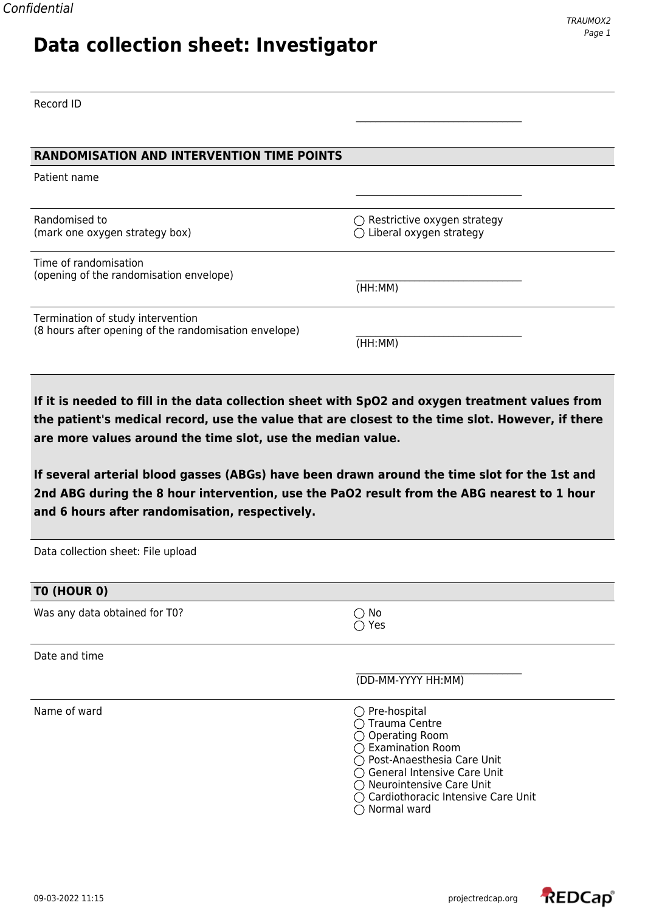## **Data collection sheet: Investigator**

Record ID

#### **RANDOMISATION AND INTERVENTION TIME POINTS**

Patient name

Randomised to  $\bigcirc$  Restrictive oxygen strategy (mark one oxygen strategy box)  $\bigcirc$  Liberal oxygen strategy

Time of randomisation (opening of the randomisation envelope) \_\_\_\_\_\_\_\_\_\_\_\_\_\_\_\_\_\_\_\_\_\_\_\_\_\_\_\_\_\_\_\_\_\_

Termination of study intervention (8 hours after opening of the randomisation envelope)

(HH:MM)

(HH:MM)

\_\_\_\_\_\_\_\_\_\_\_\_\_\_\_\_\_\_\_\_\_\_\_\_\_\_\_\_\_\_\_\_\_\_

\_\_\_\_\_\_\_\_\_\_\_\_\_\_\_\_\_\_\_\_\_\_\_\_\_\_\_\_\_\_\_\_\_\_

**If it is needed to fill in the data collection sheet with SpO2 and oxygen treatment values from the patient's medical record, use the value that are closest to the time slot. However, if there are more values around the time slot, use the median value.**

**If several arterial blood gasses (ABGs) have been drawn around the time slot for the 1st and 2nd ABG during the 8 hour intervention, use the PaO2 result from the ABG nearest to 1 hour and 6 hours after randomisation, respectively.**

| Data collection sheet: File upload |                                                                                                                                                                                                                                                                                |
|------------------------------------|--------------------------------------------------------------------------------------------------------------------------------------------------------------------------------------------------------------------------------------------------------------------------------|
| TO (HOUR 0)                        |                                                                                                                                                                                                                                                                                |
| Was any data obtained for T0?      | No<br>$\bigcirc$ Yes                                                                                                                                                                                                                                                           |
| Date and time                      |                                                                                                                                                                                                                                                                                |
|                                    | (DD-MM-YYYY HH:MM)                                                                                                                                                                                                                                                             |
| Name of ward                       | $\bigcirc$ Pre-hospital<br>◯ Trauma Centre<br>$\bigcirc$ Operating Room<br>$\bigcirc$ Examination Room<br>◯ Post-Anaesthesia Care Unit<br>◯ General Intensive Care Unit<br>$\bigcirc$ Neurointensive Care Unit<br>$\bigcirc$ Cardiothoracic Intensive Care Unit<br>Normal ward |

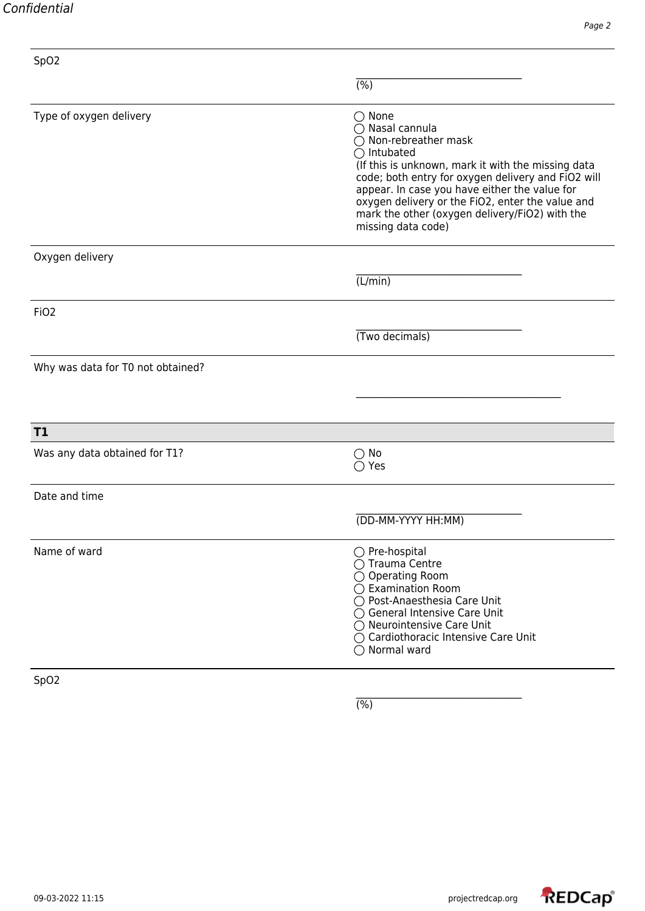| Confidential |
|--------------|
|--------------|

| SpO <sub>2</sub>                  |                                                                                                                                                                                                                                                                                                                                                                                       |
|-----------------------------------|---------------------------------------------------------------------------------------------------------------------------------------------------------------------------------------------------------------------------------------------------------------------------------------------------------------------------------------------------------------------------------------|
|                                   | (% )                                                                                                                                                                                                                                                                                                                                                                                  |
| Type of oxygen delivery           | $\bigcirc$ None<br>◯ Nasal cannula<br>$\bigcirc$ Non-rebreather mask<br>$\bigcirc$ Intubated<br>(If this is unknown, mark it with the missing data<br>code; both entry for oxygen delivery and FiO2 will<br>appear. In case you have either the value for<br>oxygen delivery or the FiO2, enter the value and<br>mark the other (oxygen delivery/FiO2) with the<br>missing data code) |
| Oxygen delivery                   |                                                                                                                                                                                                                                                                                                                                                                                       |
|                                   | (L/min)                                                                                                                                                                                                                                                                                                                                                                               |
| FiO <sub>2</sub>                  |                                                                                                                                                                                                                                                                                                                                                                                       |
|                                   | (Two decimals)                                                                                                                                                                                                                                                                                                                                                                        |
| Why was data for T0 not obtained? |                                                                                                                                                                                                                                                                                                                                                                                       |
|                                   |                                                                                                                                                                                                                                                                                                                                                                                       |
| T1                                |                                                                                                                                                                                                                                                                                                                                                                                       |
| Was any data obtained for T1?     | $\bigcirc$ No<br>Yes                                                                                                                                                                                                                                                                                                                                                                  |
| Date and time                     |                                                                                                                                                                                                                                                                                                                                                                                       |
|                                   | (DD-MM-YYYY HH:MM)                                                                                                                                                                                                                                                                                                                                                                    |
| Name of ward                      | ◯ Pre-hospital<br>◯ Trauma Centre<br>◯ Operating Room<br>$\bigcirc$ Examination Room<br>◯ Post-Anaesthesia Care Unit<br>◯ General Intensive Care Unit<br>◯ Neurointensive Care Unit<br>○ Cardiothoracic Intensive Care Unit<br>$\bigcirc$ Normal ward                                                                                                                                 |
| SpO <sub>2</sub>                  |                                                                                                                                                                                                                                                                                                                                                                                       |

 $\overline{(\%)}$ 

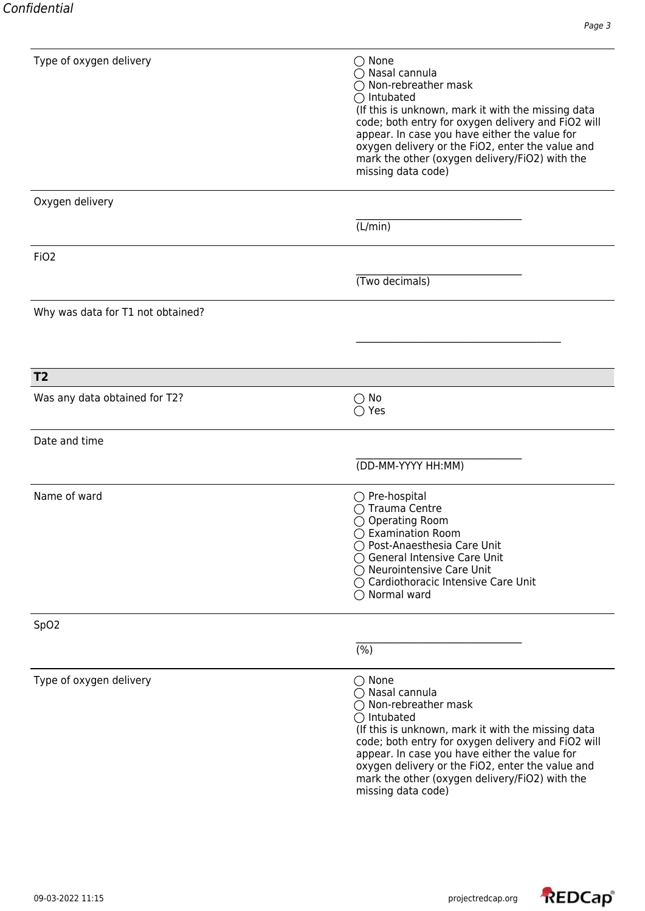| Type of oxygen delivery           | $\bigcirc$ None<br>◯ Nasal cannula<br>$\bigcap$ Non-rebreather mask<br>$\bigcirc$ Intubated<br>(If this is unknown, mark it with the missing data<br>code; both entry for oxygen delivery and FiO2 will<br>appear. In case you have either the value for<br>oxygen delivery or the FiO2, enter the value and<br>mark the other (oxygen delivery/FiO2) with the<br>missing data code)           |
|-----------------------------------|------------------------------------------------------------------------------------------------------------------------------------------------------------------------------------------------------------------------------------------------------------------------------------------------------------------------------------------------------------------------------------------------|
| Oxygen delivery                   |                                                                                                                                                                                                                                                                                                                                                                                                |
|                                   | (L/min)                                                                                                                                                                                                                                                                                                                                                                                        |
| FiO <sub>2</sub>                  |                                                                                                                                                                                                                                                                                                                                                                                                |
|                                   | (Two decimals)                                                                                                                                                                                                                                                                                                                                                                                 |
| Why was data for T1 not obtained? |                                                                                                                                                                                                                                                                                                                                                                                                |
|                                   |                                                                                                                                                                                                                                                                                                                                                                                                |
| T <sub>2</sub>                    |                                                                                                                                                                                                                                                                                                                                                                                                |
| Was any data obtained for T2?     | No<br>$\bigcirc$ Yes                                                                                                                                                                                                                                                                                                                                                                           |
| Date and time                     |                                                                                                                                                                                                                                                                                                                                                                                                |
|                                   | (DD-MM-YYYY HH:MM)                                                                                                                                                                                                                                                                                                                                                                             |
| Name of ward                      | $\bigcirc$ Pre-hospital<br>$\bigcap$ Trauma Centre<br>$\bigcirc$ Operating Room<br>$\bigcirc$ Examination Room<br>◯ Post-Anaesthesia Care Unit<br>◯ General Intensive Care Unit<br>$\bigcirc$ Neurointensive Care Unit<br>○ Cardiothoracic Intensive Care Unit<br>$\bigcirc$ Normal ward                                                                                                       |
| SpO <sub>2</sub>                  |                                                                                                                                                                                                                                                                                                                                                                                                |
|                                   | $\overline{(\%)}$                                                                                                                                                                                                                                                                                                                                                                              |
| Type of oxygen delivery           | $\bigcirc$ None<br>$\bigcirc$ Nasal cannula<br>$\bigcirc$ Non-rebreather mask<br>$\bigcirc$ Intubated<br>(If this is unknown, mark it with the missing data<br>code; both entry for oxygen delivery and FiO2 will<br>appear. In case you have either the value for<br>oxygen delivery or the FiO2, enter the value and<br>mark the other (oxygen delivery/FiO2) with the<br>missing data code) |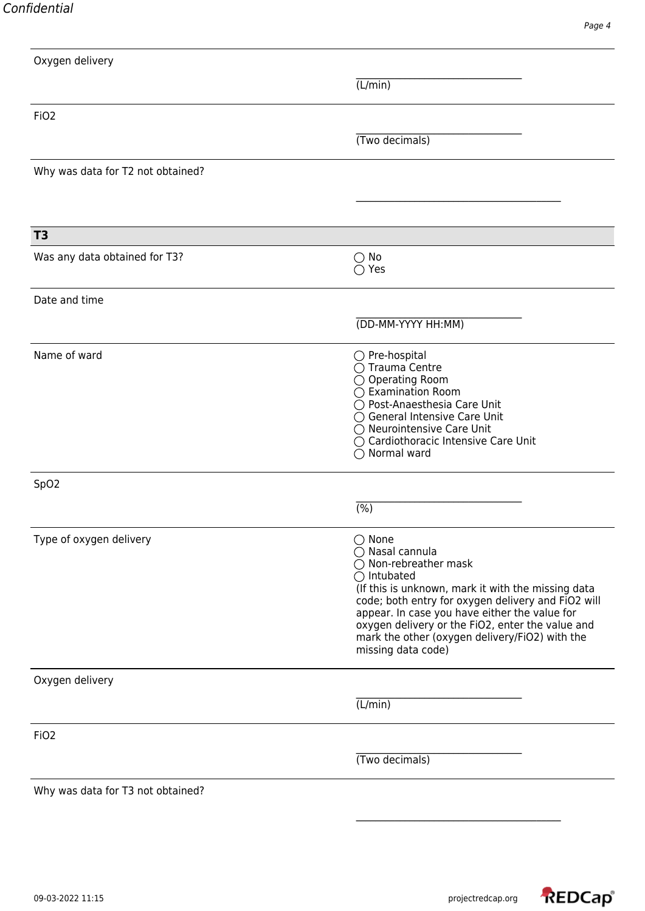| Oxygen delivery                   |                                                                                                                                                                                                                                                                                                                                                                                       |
|-----------------------------------|---------------------------------------------------------------------------------------------------------------------------------------------------------------------------------------------------------------------------------------------------------------------------------------------------------------------------------------------------------------------------------------|
|                                   | (L/min)                                                                                                                                                                                                                                                                                                                                                                               |
| FiO <sub>2</sub>                  |                                                                                                                                                                                                                                                                                                                                                                                       |
|                                   | (Two decimals)                                                                                                                                                                                                                                                                                                                                                                        |
| Why was data for T2 not obtained? |                                                                                                                                                                                                                                                                                                                                                                                       |
|                                   |                                                                                                                                                                                                                                                                                                                                                                                       |
| T <sub>3</sub>                    |                                                                                                                                                                                                                                                                                                                                                                                       |
| Was any data obtained for T3?     | $\bigcirc$ No<br>$\bigcirc$ Yes                                                                                                                                                                                                                                                                                                                                                       |
| Date and time                     |                                                                                                                                                                                                                                                                                                                                                                                       |
|                                   | (DD-MM-YYYY HH:MM)                                                                                                                                                                                                                                                                                                                                                                    |
| Name of ward                      | $\bigcirc$ Pre-hospital<br>◯ Trauma Centre<br>◯ Operating Room<br>◯ Examination Room<br>◯ Post-Anaesthesia Care Unit<br>◯ General Intensive Care Unit<br>◯ Neurointensive Care Unit<br>◯ Cardiothoracic Intensive Care Unit<br>$\bigcirc$ Normal ward                                                                                                                                 |
| SpO <sub>2</sub>                  |                                                                                                                                                                                                                                                                                                                                                                                       |
|                                   | $(\%)$                                                                                                                                                                                                                                                                                                                                                                                |
| Type of oxygen delivery           | $\bigcirc$ None<br>◯ Nasal cannula<br>$\bigcirc$ Non-rebreather mask<br>$\bigcirc$ Intubated<br>(If this is unknown, mark it with the missing data<br>code; both entry for oxygen delivery and FiO2 will<br>appear. In case you have either the value for<br>oxygen delivery or the FiO2, enter the value and<br>mark the other (oxygen delivery/FiO2) with the<br>missing data code) |
| Oxygen delivery                   |                                                                                                                                                                                                                                                                                                                                                                                       |
|                                   | (L/min)                                                                                                                                                                                                                                                                                                                                                                               |
| FiO <sub>2</sub>                  |                                                                                                                                                                                                                                                                                                                                                                                       |
|                                   | (Two decimals)                                                                                                                                                                                                                                                                                                                                                                        |
| Why was data for T3 not obtained? |                                                                                                                                                                                                                                                                                                                                                                                       |

\_\_\_\_\_\_\_\_\_\_\_\_\_\_\_\_\_\_\_\_\_\_\_\_\_\_\_\_\_\_\_\_\_\_\_\_\_\_\_\_\_\_

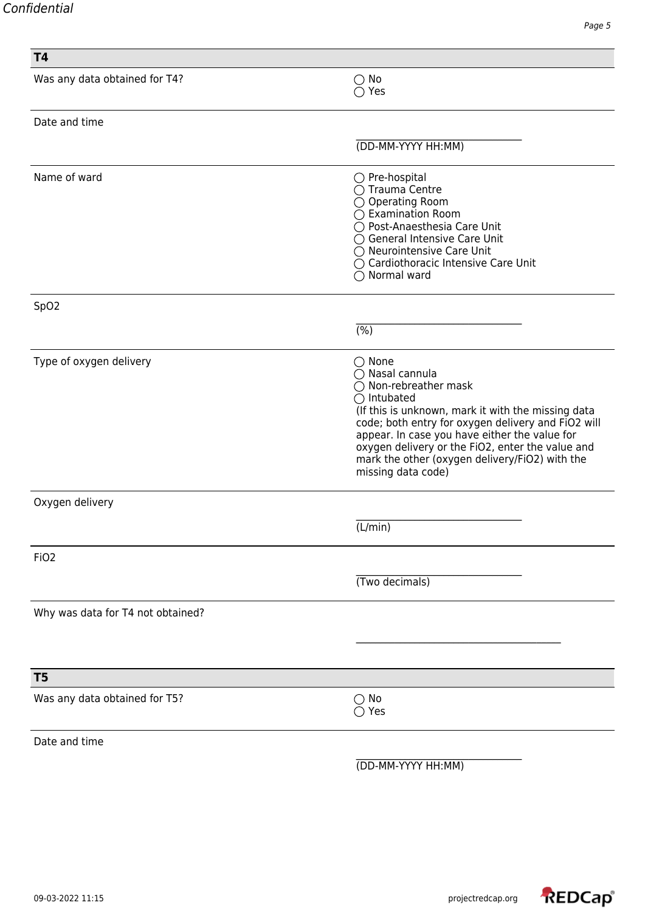| <b>T4</b>                         |                                                                                                                                                                                                                                                                                                                                                                                       |
|-----------------------------------|---------------------------------------------------------------------------------------------------------------------------------------------------------------------------------------------------------------------------------------------------------------------------------------------------------------------------------------------------------------------------------------|
| Was any data obtained for T4?     | $\bigcirc$ No<br>$\bigcirc$ Yes                                                                                                                                                                                                                                                                                                                                                       |
| Date and time                     |                                                                                                                                                                                                                                                                                                                                                                                       |
|                                   | (DD-MM-YYYY HH:MM)                                                                                                                                                                                                                                                                                                                                                                    |
| Name of ward                      | $\bigcirc$ Pre-hospital<br>◯ Trauma Centre<br>$\bigcirc$ Operating Room<br>◯ Examination Room<br>◯ Post-Anaesthesia Care Unit<br>◯ General Intensive Care Unit<br>◯ Neurointensive Care Unit<br>◯ Cardiothoracic Intensive Care Unit<br>$\bigcirc$ Normal ward                                                                                                                        |
| SpO <sub>2</sub>                  |                                                                                                                                                                                                                                                                                                                                                                                       |
|                                   | (%)                                                                                                                                                                                                                                                                                                                                                                                   |
| Type of oxygen delivery           | $\bigcirc$ None<br>◯ Nasal cannula<br>$\bigcirc$ Non-rebreather mask<br>$\bigcirc$ Intubated<br>(If this is unknown, mark it with the missing data<br>code; both entry for oxygen delivery and FiO2 will<br>appear. In case you have either the value for<br>oxygen delivery or the FiO2, enter the value and<br>mark the other (oxygen delivery/FiO2) with the<br>missing data code) |
| Oxygen delivery                   |                                                                                                                                                                                                                                                                                                                                                                                       |
|                                   | (L/min)                                                                                                                                                                                                                                                                                                                                                                               |
| FiO <sub>2</sub>                  |                                                                                                                                                                                                                                                                                                                                                                                       |
|                                   | (Two decimals)                                                                                                                                                                                                                                                                                                                                                                        |
| Why was data for T4 not obtained? |                                                                                                                                                                                                                                                                                                                                                                                       |
|                                   |                                                                                                                                                                                                                                                                                                                                                                                       |
| T <sub>5</sub>                    |                                                                                                                                                                                                                                                                                                                                                                                       |
| Was any data obtained for T5?     | No<br>$( \ )$<br>$\bigcirc$ Yes                                                                                                                                                                                                                                                                                                                                                       |
| Date and time                     |                                                                                                                                                                                                                                                                                                                                                                                       |
|                                   | (DD-MM-YYYY HH:MM)                                                                                                                                                                                                                                                                                                                                                                    |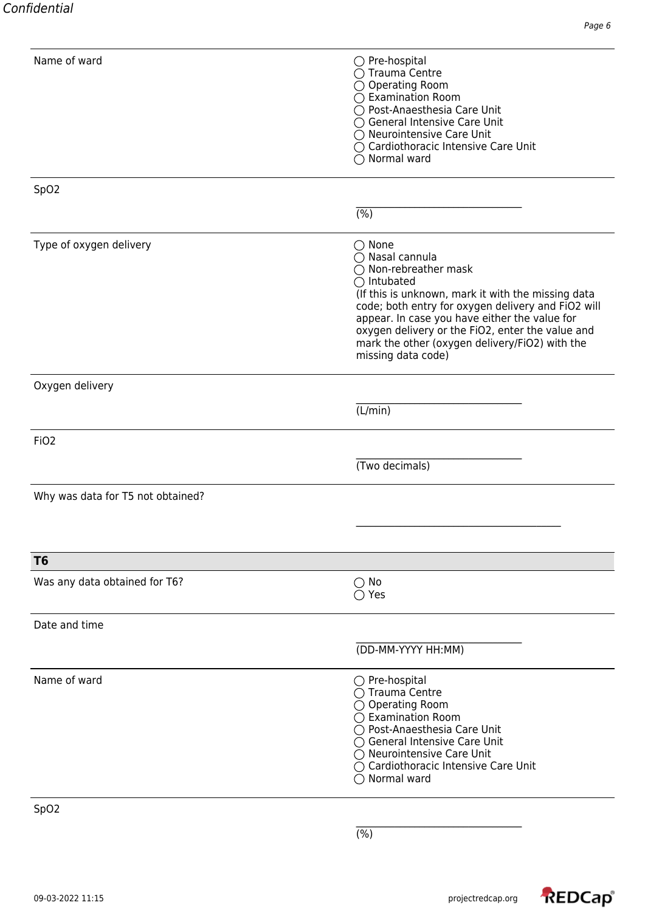| Name of ward                      | $\bigcirc$ Pre-hospital<br>◯ Trauma Centre<br>$\bigcirc$ Operating Room<br>◯ Examination Room<br>○ Post-Anaesthesia Care Unit<br>◯ General Intensive Care Unit                                                                                                                                                                                                                        |
|-----------------------------------|---------------------------------------------------------------------------------------------------------------------------------------------------------------------------------------------------------------------------------------------------------------------------------------------------------------------------------------------------------------------------------------|
|                                   | ◯ Neurointensive Care Unit<br>◯ Cardiothoracic Intensive Care Unit<br>$\bigcirc$ Normal ward                                                                                                                                                                                                                                                                                          |
| SpO <sub>2</sub>                  |                                                                                                                                                                                                                                                                                                                                                                                       |
|                                   | $\overline{(\%)}$                                                                                                                                                                                                                                                                                                                                                                     |
| Type of oxygen delivery           | $\bigcirc$ None<br>◯ Nasal cannula<br>$\bigcirc$ Non-rebreather mask<br>$\bigcirc$ Intubated<br>(If this is unknown, mark it with the missing data<br>code; both entry for oxygen delivery and FiO2 will<br>appear. In case you have either the value for<br>oxygen delivery or the FiO2, enter the value and<br>mark the other (oxygen delivery/FiO2) with the<br>missing data code) |
| Oxygen delivery                   |                                                                                                                                                                                                                                                                                                                                                                                       |
|                                   | (L/min)                                                                                                                                                                                                                                                                                                                                                                               |
| FiO <sub>2</sub>                  |                                                                                                                                                                                                                                                                                                                                                                                       |
|                                   | (Two decimals)                                                                                                                                                                                                                                                                                                                                                                        |
| Why was data for T5 not obtained? |                                                                                                                                                                                                                                                                                                                                                                                       |
|                                   |                                                                                                                                                                                                                                                                                                                                                                                       |
| T <sub>6</sub>                    |                                                                                                                                                                                                                                                                                                                                                                                       |
| Was any data obtained for T6?     | $\bigcirc$ No<br>$\bigcirc$ Yes                                                                                                                                                                                                                                                                                                                                                       |
| Date and time                     |                                                                                                                                                                                                                                                                                                                                                                                       |
|                                   | (DD-MM-YYYY HH:MM)                                                                                                                                                                                                                                                                                                                                                                    |
| Name of ward                      | $\bigcirc$ Pre-hospital<br>◯ Trauma Centre<br>$\bigcirc$ Operating Room<br>$\bigcirc$ Examination Room<br>◯ Post-Anaesthesia Care Unit<br>◯ General Intensive Care Unit<br>$\bigcirc$ Neurointensive Care Unit<br>$\bigcirc$ Cardiothoracic Intensive Care Unit<br>$\bigcirc$ Normal ward                                                                                             |

SpO2

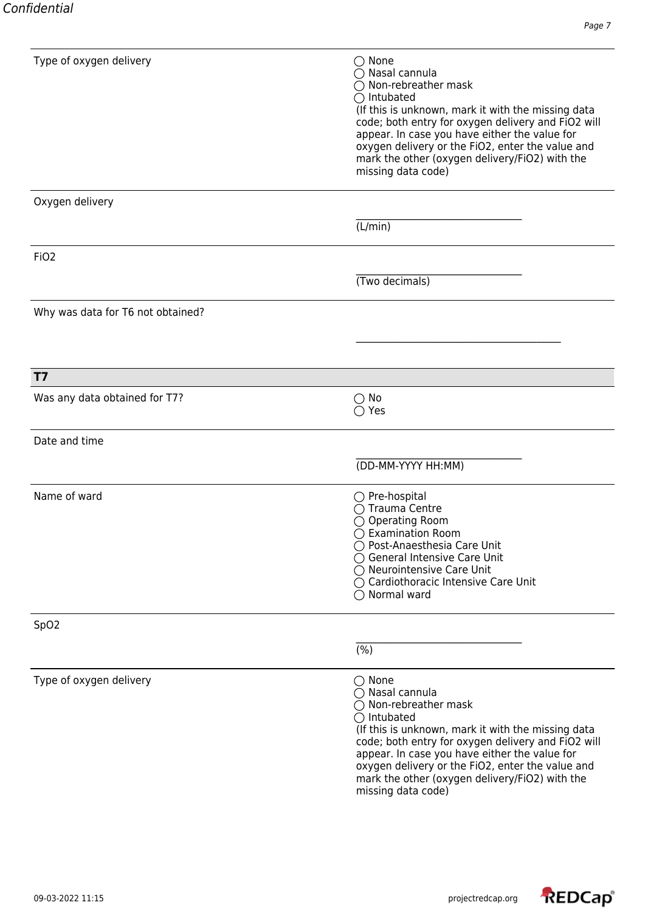| Type of oxygen delivery           | $\bigcirc$ None<br>◯ Nasal cannula<br>$\bigcirc$ Non-rebreather mask<br>$\bigcirc$ Intubated<br>(If this is unknown, mark it with the missing data<br>code; both entry for oxygen delivery and FiO2 will<br>appear. In case you have either the value for<br>oxygen delivery or the FiO2, enter the value and<br>mark the other (oxygen delivery/FiO2) with the<br>missing data code)          |
|-----------------------------------|------------------------------------------------------------------------------------------------------------------------------------------------------------------------------------------------------------------------------------------------------------------------------------------------------------------------------------------------------------------------------------------------|
| Oxygen delivery                   |                                                                                                                                                                                                                                                                                                                                                                                                |
|                                   | (L/min)                                                                                                                                                                                                                                                                                                                                                                                        |
| FiO <sub>2</sub>                  |                                                                                                                                                                                                                                                                                                                                                                                                |
|                                   | (Two decimals)                                                                                                                                                                                                                                                                                                                                                                                 |
| Why was data for T6 not obtained? |                                                                                                                                                                                                                                                                                                                                                                                                |
|                                   |                                                                                                                                                                                                                                                                                                                                                                                                |
| <b>T7</b>                         |                                                                                                                                                                                                                                                                                                                                                                                                |
| Was any data obtained for T7?     | $\bigcirc$ No<br>$\bigcirc$ Yes                                                                                                                                                                                                                                                                                                                                                                |
| Date and time                     |                                                                                                                                                                                                                                                                                                                                                                                                |
|                                   | (DD-MM-YYYY HH:MM)                                                                                                                                                                                                                                                                                                                                                                             |
| Name of ward                      | $\bigcirc$ Pre-hospital<br>◯ Trauma Centre<br>$\bigcirc$ Operating Room<br>$\bigcirc$ Examination Room<br>◯ Post-Anaesthesia Care Unit<br>◯ General Intensive Care Unit<br>$\bigcirc$ Neurointensive Care Unit<br>◯ Cardiothoracic Intensive Care Unit<br>$\bigcirc$ Normal ward                                                                                                               |
| SpO <sub>2</sub>                  |                                                                                                                                                                                                                                                                                                                                                                                                |
|                                   | $\overline{(\%)}$                                                                                                                                                                                                                                                                                                                                                                              |
| Type of oxygen delivery           | $\bigcirc$ None<br>$\bigcirc$ Nasal cannula<br>$\bigcirc$ Non-rebreather mask<br>$\bigcirc$ Intubated<br>(If this is unknown, mark it with the missing data<br>code; both entry for oxygen delivery and FiO2 will<br>appear. In case you have either the value for<br>oxygen delivery or the FiO2, enter the value and<br>mark the other (oxygen delivery/FiO2) with the<br>missing data code) |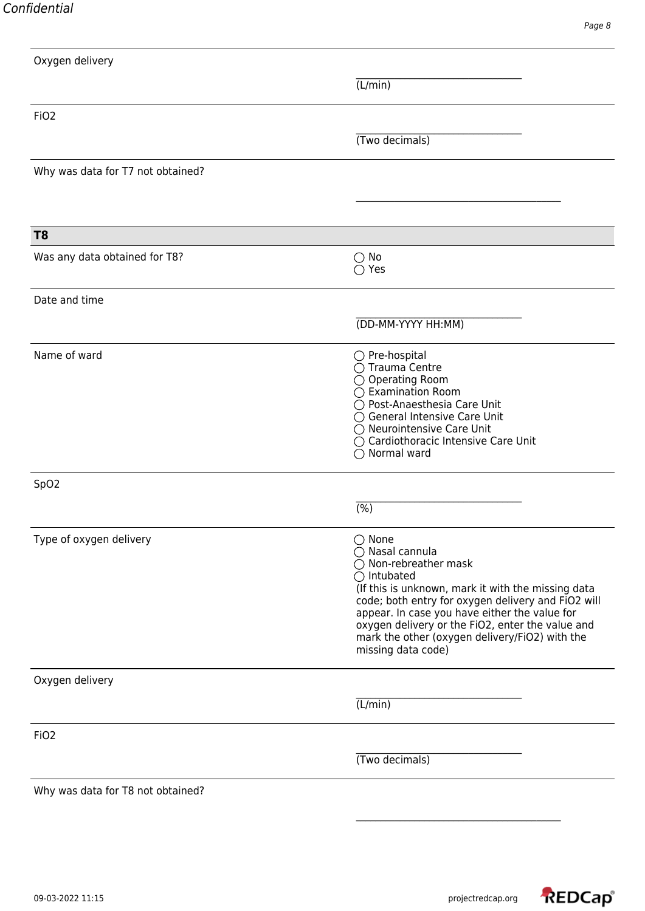| Oxygen delivery                   |                                                                                                                                                                                                                                                                                                                                                                                       |
|-----------------------------------|---------------------------------------------------------------------------------------------------------------------------------------------------------------------------------------------------------------------------------------------------------------------------------------------------------------------------------------------------------------------------------------|
|                                   | (L/min)                                                                                                                                                                                                                                                                                                                                                                               |
| FiO <sub>2</sub>                  |                                                                                                                                                                                                                                                                                                                                                                                       |
|                                   | (Two decimals)                                                                                                                                                                                                                                                                                                                                                                        |
| Why was data for T7 not obtained? |                                                                                                                                                                                                                                                                                                                                                                                       |
|                                   |                                                                                                                                                                                                                                                                                                                                                                                       |
| T <sub>8</sub>                    |                                                                                                                                                                                                                                                                                                                                                                                       |
| Was any data obtained for T8?     | $\bigcirc$ No<br>$\bigcirc$ Yes                                                                                                                                                                                                                                                                                                                                                       |
| Date and time                     |                                                                                                                                                                                                                                                                                                                                                                                       |
|                                   | (DD-MM-YYYY HH:MM)                                                                                                                                                                                                                                                                                                                                                                    |
| Name of ward                      | $\bigcirc$ Pre-hospital<br>○ Trauma Centre<br>◯ Operating Room<br>◯ Examination Room<br>◯ Post-Anaesthesia Care Unit<br>◯ General Intensive Care Unit<br>◯ Neurointensive Care Unit<br>O Cardiothoracic Intensive Care Unit<br>$\bigcirc$ Normal ward                                                                                                                                 |
| SpO <sub>2</sub>                  |                                                                                                                                                                                                                                                                                                                                                                                       |
|                                   | $\overline{(\%)}$                                                                                                                                                                                                                                                                                                                                                                     |
| Type of oxygen delivery           | $\bigcirc$ None<br>◯ Nasal cannula<br>$\bigcirc$ Non-rebreather mask<br>$\bigcirc$ Intubated<br>(If this is unknown, mark it with the missing data<br>code; both entry for oxygen delivery and FiO2 will<br>appear. In case you have either the value for<br>oxygen delivery or the FiO2, enter the value and<br>mark the other (oxygen delivery/FiO2) with the<br>missing data code) |
| Oxygen delivery                   |                                                                                                                                                                                                                                                                                                                                                                                       |
|                                   | (L/min)                                                                                                                                                                                                                                                                                                                                                                               |
| FiO <sub>2</sub>                  |                                                                                                                                                                                                                                                                                                                                                                                       |
|                                   | (Two decimals)                                                                                                                                                                                                                                                                                                                                                                        |
| Why was data for T8 not obtained? |                                                                                                                                                                                                                                                                                                                                                                                       |

\_\_\_\_\_\_\_\_\_\_\_\_\_\_\_\_\_\_\_\_\_\_\_\_\_\_\_\_\_\_\_\_\_\_\_\_\_\_\_\_\_\_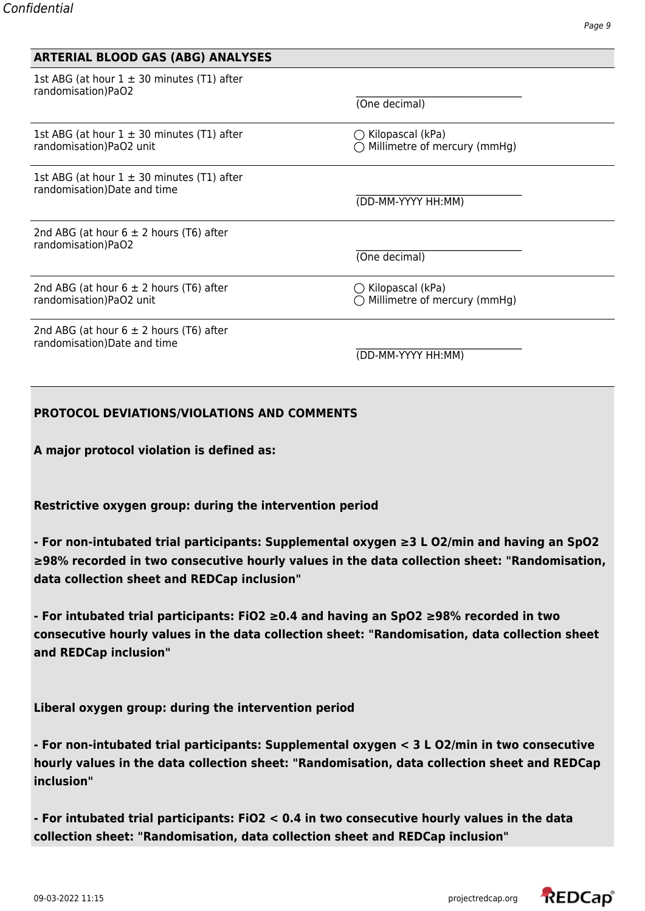| <b>ARTERIAL BLOOD GAS (ABG) ANALYSES</b>                                      |                                                             |  |
|-------------------------------------------------------------------------------|-------------------------------------------------------------|--|
| 1st ABG (at hour $1 \pm 30$ minutes (T1) after<br>randomisation)PaO2          | (One decimal)                                               |  |
|                                                                               |                                                             |  |
| 1st ABG (at hour $1 \pm 30$ minutes (T1) after<br>randomisation)PaO2 unit     | $\bigcirc$ Kilopascal (kPa)<br>Millimetre of mercury (mmHg) |  |
| 1st ABG (at hour $1 \pm 30$ minutes (T1) after<br>randomisation)Date and time | (DD-MM-YYYY HH:MM)                                          |  |
| 2nd ABG (at hour $6 \pm 2$ hours (T6) after<br>randomisation)PaO2             | (One decimal)                                               |  |
| 2nd ABG (at hour $6 \pm 2$ hours (T6) after<br>randomisation)PaO2 unit        | $\bigcirc$ Kilopascal (kPa)<br>Millimetre of mercury (mmHg) |  |
| 2nd ABG (at hour $6 \pm 2$ hours (T6) after<br>randomisation)Date and time    | (DD-MM-YYYY HH:MM)                                          |  |

### **PROTOCOL DEVIATIONS/VIOLATIONS AND COMMENTS**

**A major protocol violation is defined as:**

**Restrictive oxygen group: during the intervention period**

**- For non-intubated trial participants: Supplemental oxygen ≥3 L O2/min and having an SpO2 ≥98% recorded in two consecutive hourly values in the data collection sheet: "Randomisation, data collection sheet and REDCap inclusion"**

**- For intubated trial participants: FiO2 ≥0.4 and having an SpO2 ≥98% recorded in two consecutive hourly values in the data collection sheet: "Randomisation, data collection sheet and REDCap inclusion"**

**Liberal oxygen group: during the intervention period**

**- For non-intubated trial participants: Supplemental oxygen < 3 L O2/min in two consecutive hourly values in the data collection sheet: "Randomisation, data collection sheet and REDCap inclusion"**

**- For intubated trial participants: FiO2 < 0.4 in two consecutive hourly values in the data collection sheet: "Randomisation, data collection sheet and REDCap inclusion"**

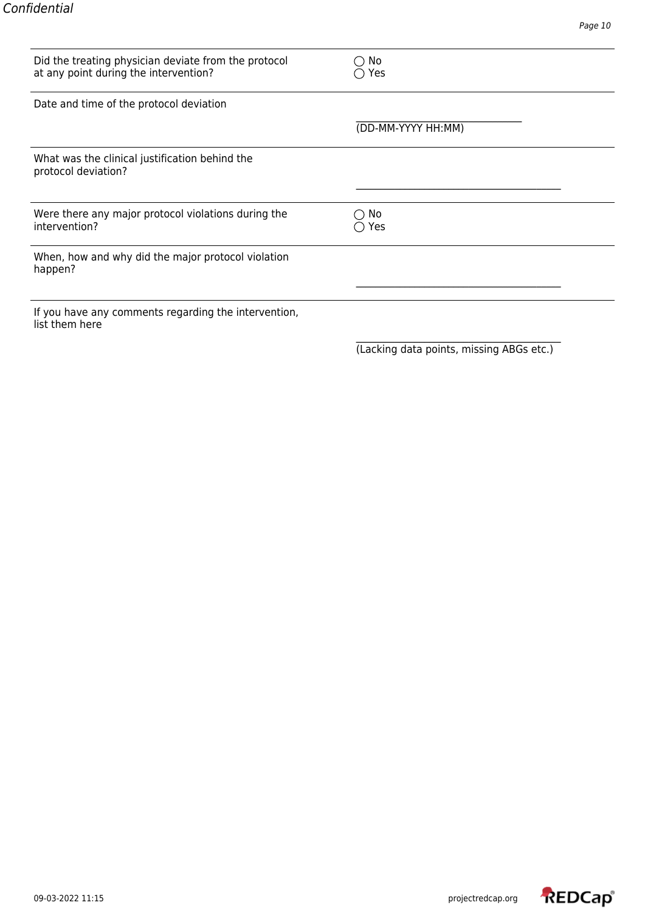| Did the treating physician deviate from the protocol<br>at any point during the intervention? | No<br>Yes           |
|-----------------------------------------------------------------------------------------------|---------------------|
| Date and time of the protocol deviation                                                       |                     |
|                                                                                               | (DD-MM-YYYY HH:MM)  |
| What was the clinical justification behind the<br>protocol deviation?                         |                     |
|                                                                                               |                     |
| Were there any major protocol violations during the<br>intervention?                          | No<br>$\supset$ Yes |
| When, how and why did the major protocol violation<br>happen?                                 |                     |
|                                                                                               |                     |
| If you have any comments regarding the intervention,<br>list them here                        |                     |

(Lacking data points, missing ABGs etc.)

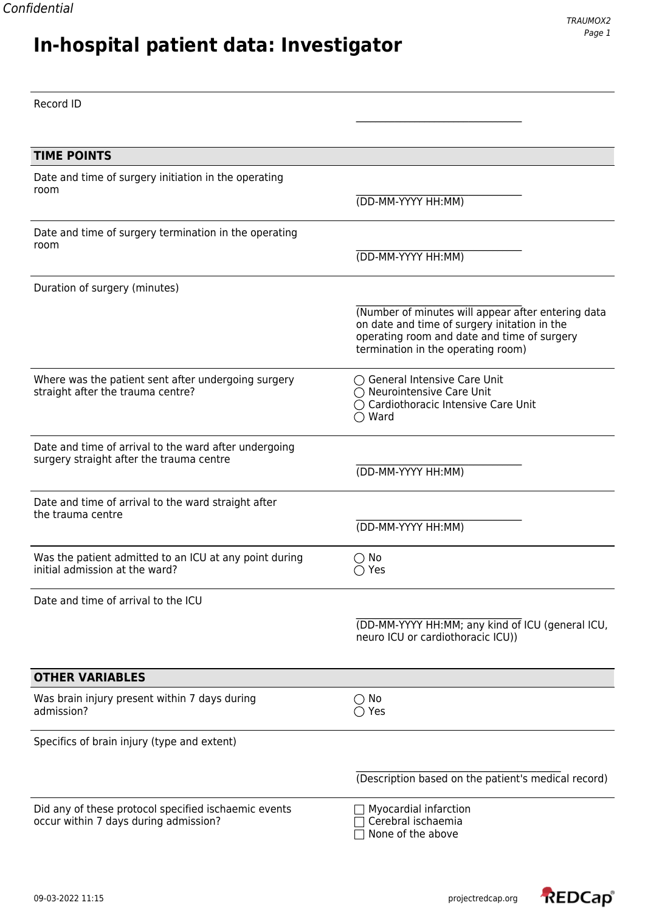Record ID

## **In-hospital patient data: Investigator**

\_\_\_\_\_\_\_\_\_\_\_\_\_\_\_\_\_\_\_\_\_\_\_\_\_\_\_\_\_\_\_\_\_\_ **TIME POINTS** Date and time of surgery initiation in the operating  $\blacksquare$ room (DD-MM-YYYY HH:MM) Date and time of surgery termination in the operating  $\blacksquare$ room (DD-MM-YYYY HH:MM) Duration of surgery (minutes) (Number of minutes will appear after entering data on date and time of surgery initation in the operating room and date and time of surgery termination in the operating room) Where was the patient sent after undergoing surgery  $\bigcirc$  General Intensive Care Unit straight after the trauma centre? straight after the trauma centre? ◯ Cardiothoracic Intensive Care Unit ◯ Ward Date and time of arrival to the ward after undergoing surgery straight after the trauma centre (DD-MM-YYYY HH:MM) Date and time of arrival to the ward straight after the trauma centre (DD-MM-YYYY HH:MM) Was the patient admitted to an ICU at any point during  $\bigcirc$  No initial admission at the ward?  $\bigcirc$  Yes Date and time of arrival to the ICU \_\_\_\_\_\_\_\_\_\_\_\_\_\_\_\_\_\_\_\_\_\_\_\_\_\_\_\_\_\_\_\_\_\_ (DD-MM-YYYY HH:MM; any kind of ICU (general ICU, neuro ICU or cardiothoracic ICU)) **OTHER VARIABLES** Was brain injury present within 7 days during  $\bigcirc$  No admission?  $\bigcirc$  Yes admission? Specifics of brain injury (type and extent) \_\_\_\_\_\_\_\_\_\_\_\_\_\_\_\_\_\_\_\_\_\_\_\_\_\_\_\_\_\_\_\_\_\_\_\_\_\_\_\_\_\_ (Description based on the patient's medical record) Did any of these protocol specified ischaemic events  $\Box$  Myocardial infarction occur within 7 days during admission?  $\Box$  Cerebral ischaemia  $\overline{\Box}$  None of the above

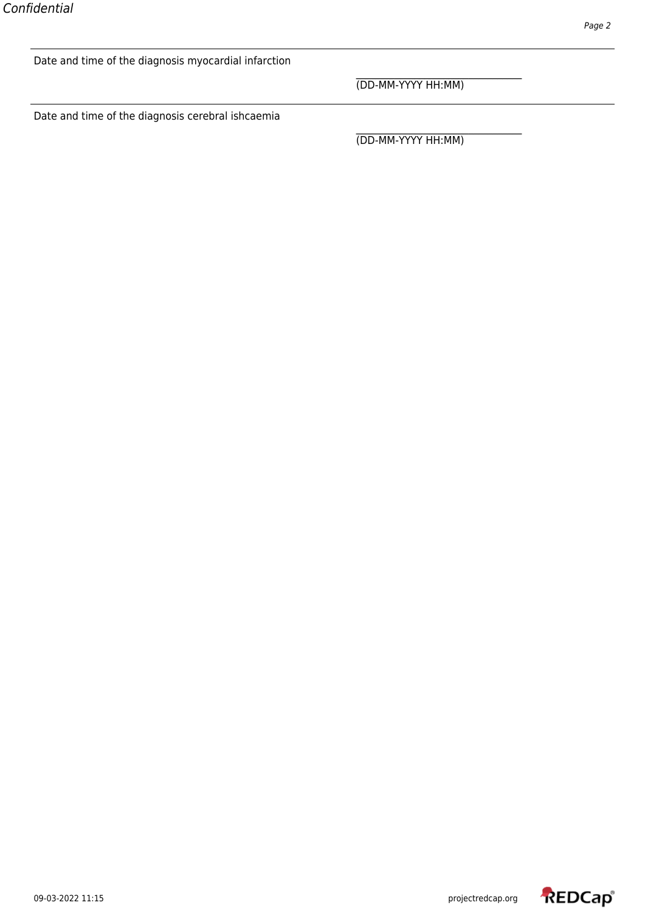Date and time of the diagnosis myocardial infarction

\_\_\_\_\_\_\_\_\_\_\_\_\_\_\_\_\_\_\_\_\_\_\_\_\_\_\_\_\_\_\_\_\_\_ (DD-MM-YYYY HH:MM)

Date and time of the diagnosis cerebral ishcaemia

\_\_\_\_\_\_\_\_\_\_\_\_\_\_\_\_\_\_\_\_\_\_\_\_\_\_\_\_\_\_\_\_\_\_ (DD-MM-YYYY HH:MM)

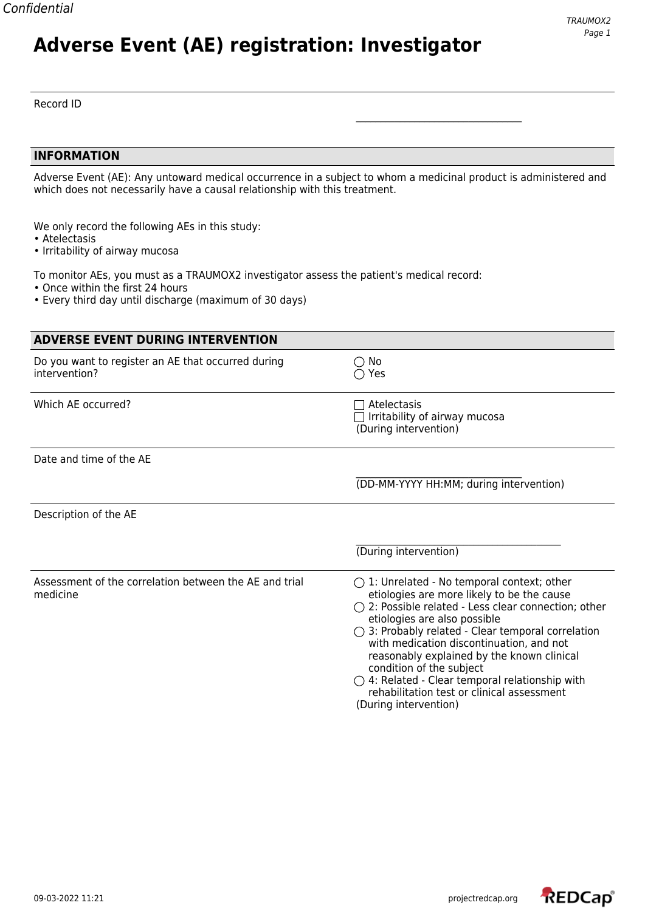# **Adverse Event (AE) registration: Investigator**

#### Record ID

#### **INFORMATION**

Adverse Event (AE): Any untoward medical occurrence in a subject to whom a medicinal product is administered and which does not necessarily have a causal relationship with this treatment.

\_\_\_\_\_\_\_\_\_\_\_\_\_\_\_\_\_\_\_\_\_\_\_\_\_\_\_\_\_\_\_\_\_\_

We only record the following AEs in this study:

- Atelectasis
- Irritability of airway mucosa

To monitor AEs, you must as a TRAUMOX2 investigator assess the patient's medical record:

- Once within the first 24 hours
- Every third day until discharge (maximum of 30 days)

| <b>ADVERSE EVENT DURING INTERVENTION</b>                            |                                                                                                                                                                                                                                                                                                                                                                                                                                                                                                                             |
|---------------------------------------------------------------------|-----------------------------------------------------------------------------------------------------------------------------------------------------------------------------------------------------------------------------------------------------------------------------------------------------------------------------------------------------------------------------------------------------------------------------------------------------------------------------------------------------------------------------|
| Do you want to register an AE that occurred during<br>intervention? | $\bigcirc$ No<br>$\bigcirc$ Yes                                                                                                                                                                                                                                                                                                                                                                                                                                                                                             |
| Which AE occurred?                                                  | Atelectasis<br>Irritability of airway mucosa<br>(During intervention)                                                                                                                                                                                                                                                                                                                                                                                                                                                       |
| Date and time of the AE                                             |                                                                                                                                                                                                                                                                                                                                                                                                                                                                                                                             |
|                                                                     | (DD-MM-YYYY HH:MM; during intervention)                                                                                                                                                                                                                                                                                                                                                                                                                                                                                     |
| Description of the AE                                               |                                                                                                                                                                                                                                                                                                                                                                                                                                                                                                                             |
|                                                                     | (During intervention)                                                                                                                                                                                                                                                                                                                                                                                                                                                                                                       |
| Assessment of the correlation between the AE and trial<br>medicine  | $\bigcirc$ 1: Unrelated - No temporal context; other<br>etiologies are more likely to be the cause<br>$\bigcirc$ 2: Possible related - Less clear connection; other<br>etiologies are also possible<br>$\bigcirc$ 3: Probably related - Clear temporal correlation<br>with medication discontinuation, and not<br>reasonably explained by the known clinical<br>condition of the subject<br>$\bigcirc$ 4: Related - Clear temporal relationship with<br>rehabilitation test or clinical assessment<br>(During intervention) |

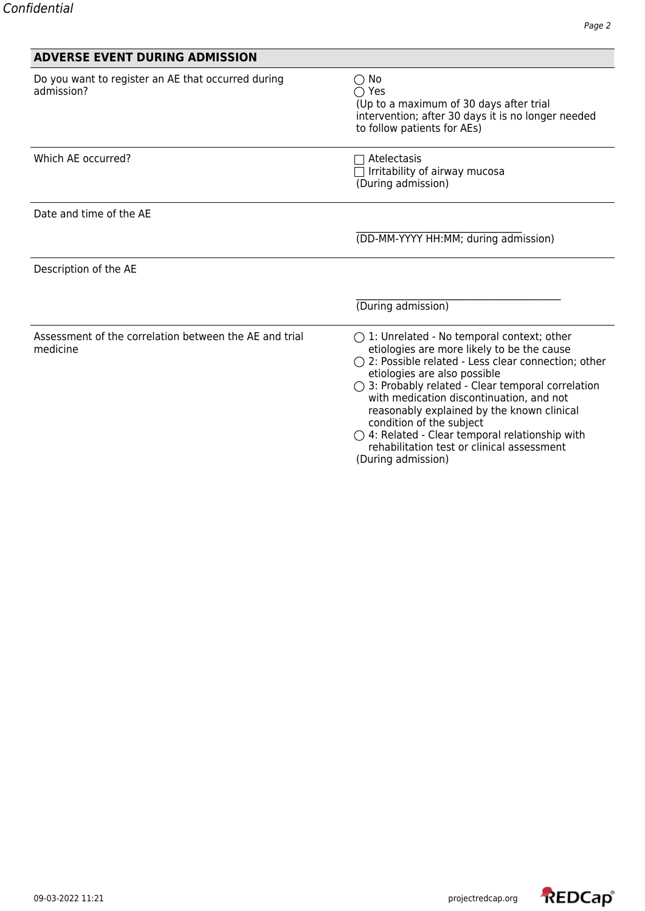| <b>ADVERSE EVENT DURING ADMISSION</b>                              |                                                                                                                                                                                                                                                                                                                                                                                                                                                                                                                          |
|--------------------------------------------------------------------|--------------------------------------------------------------------------------------------------------------------------------------------------------------------------------------------------------------------------------------------------------------------------------------------------------------------------------------------------------------------------------------------------------------------------------------------------------------------------------------------------------------------------|
| Do you want to register an AE that occurred during<br>admission?   | $\bigcirc$ No<br>$\bigcirc$ Yes<br>(Up to a maximum of 30 days after trial<br>intervention; after 30 days it is no longer needed<br>to follow patients for AEs)                                                                                                                                                                                                                                                                                                                                                          |
| Which AE occurred?                                                 | Atelectasis<br>Irritability of airway mucosa<br>(During admission)                                                                                                                                                                                                                                                                                                                                                                                                                                                       |
| Date and time of the AE                                            |                                                                                                                                                                                                                                                                                                                                                                                                                                                                                                                          |
|                                                                    | (DD-MM-YYYY HH:MM; during admission)                                                                                                                                                                                                                                                                                                                                                                                                                                                                                     |
| Description of the AE                                              |                                                                                                                                                                                                                                                                                                                                                                                                                                                                                                                          |
|                                                                    | (During admission)                                                                                                                                                                                                                                                                                                                                                                                                                                                                                                       |
| Assessment of the correlation between the AE and trial<br>medicine | $\bigcirc$ 1: Unrelated - No temporal context; other<br>etiologies are more likely to be the cause<br>$\bigcirc$ 2: Possible related - Less clear connection; other<br>etiologies are also possible<br>$\bigcirc$ 3: Probably related - Clear temporal correlation<br>with medication discontinuation, and not<br>reasonably explained by the known clinical<br>condition of the subject<br>$\bigcirc$ 4: Related - Clear temporal relationship with<br>rehabilitation test or clinical assessment<br>(During admission) |

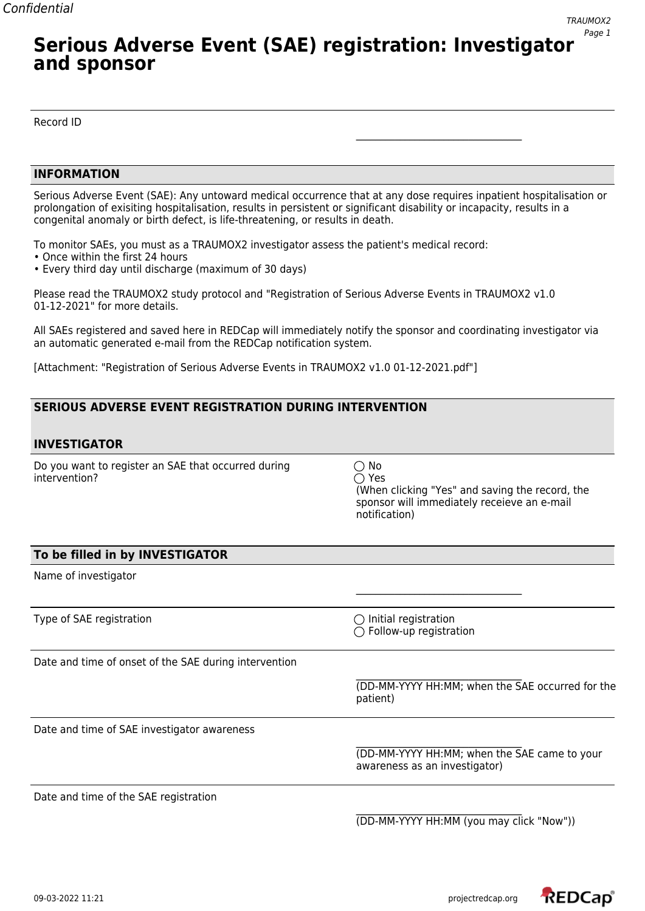### **Serious Adverse Event (SAE) registration: Investigator and sponsor**

Record ID

#### **INFORMATION**

Serious Adverse Event (SAE): Any untoward medical occurrence that at any dose requires inpatient hospitalisation or prolongation of exisiting hospitalisation, results in persistent or significant disability or incapacity, results in a congenital anomaly or birth defect, is life-threatening, or results in death.

To monitor SAEs, you must as a TRAUMOX2 investigator assess the patient's medical record:

- Once within the first 24 hours
- Every third day until discharge (maximum of 30 days)

Please read the TRAUMOX2 study protocol and "Registration of Serious Adverse Events in TRAUMOX2 v1.0 01-12-2021" for more details.

All SAEs registered and saved here in REDCap will immediately notify the sponsor and coordinating investigator via an automatic generated e-mail from the REDCap notification system.

[Attachment: "Registration of Serious Adverse Events in TRAUMOX2 v1.0 01-12-2021.pdf"]

### **SERIOUS ADVERSE EVENT REGISTRATION DURING INTERVENTION**

#### **INVESTIGATOR**

Do you want to register an SAE that occurred during  $\bigcirc$  No intervention? 
and the set of the set of the set of the set of the set of the set of the set of the set of the set of the set of the set of the set of the set of the set of the set of the set of the set of the set of the s

(When clicking "Yes" and saving the record, the sponsor will immediately receieve an e-mail notification)

\_\_\_\_\_\_\_\_\_\_\_\_\_\_\_\_\_\_\_\_\_\_\_\_\_\_\_\_\_\_\_\_\_\_

#### **To be filled in by INVESTIGATOR**

Name of investigator

Type of SAE registration  $\bigcirc$  Initial registration

 $\bigcirc$  Follow-up registration

\_\_\_\_\_\_\_\_\_\_\_\_\_\_\_\_\_\_\_\_\_\_\_\_\_\_\_\_\_\_\_\_\_\_

\_\_\_\_\_\_\_\_\_\_\_\_\_\_\_\_\_\_\_\_\_\_\_\_\_\_\_\_\_\_\_\_\_\_

Date and time of onset of the SAE during intervention

(DD-MM-YYYY HH:MM; when the SAE occurred for the patient)

Date and time of SAE investigator awareness

\_\_\_\_\_\_\_\_\_\_\_\_\_\_\_\_\_\_\_\_\_\_\_\_\_\_\_\_\_\_\_\_\_\_ (DD-MM-YYYY HH:MM; when the SAE came to your awareness as an investigator)

Date and time of the SAE registration

\_\_\_\_\_\_\_\_\_\_\_\_\_\_\_\_\_\_\_\_\_\_\_\_\_\_\_\_\_\_\_\_\_\_ (DD-MM-YYYY HH:MM (you may click "Now"))

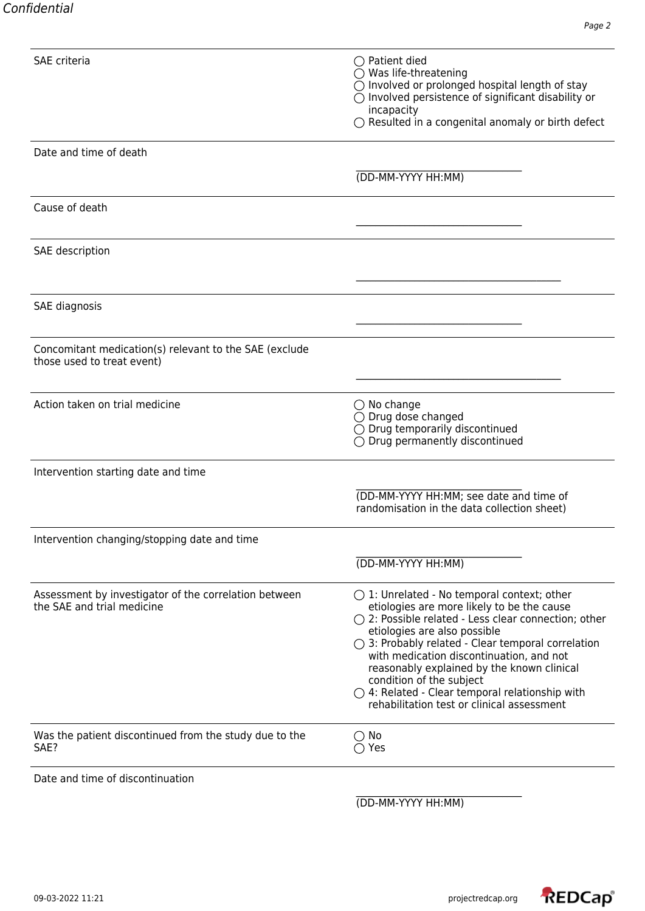| <b>SAE</b> criteria                                                                  | $\bigcirc$ Patient died<br>$\bigcirc$ Was life-threatening<br>$\bigcirc$ Involved or prolonged hospital length of stay<br>$\bigcirc$ Involved persistence of significant disability or<br>incapacity<br>$\bigcirc$ Resulted in a congenital anomaly or birth defect                                                                                                                                                                                                                                |
|--------------------------------------------------------------------------------------|----------------------------------------------------------------------------------------------------------------------------------------------------------------------------------------------------------------------------------------------------------------------------------------------------------------------------------------------------------------------------------------------------------------------------------------------------------------------------------------------------|
|                                                                                      |                                                                                                                                                                                                                                                                                                                                                                                                                                                                                                    |
| Date and time of death                                                               |                                                                                                                                                                                                                                                                                                                                                                                                                                                                                                    |
|                                                                                      | (DD-MM-YYYY HH:MM)                                                                                                                                                                                                                                                                                                                                                                                                                                                                                 |
| Cause of death                                                                       |                                                                                                                                                                                                                                                                                                                                                                                                                                                                                                    |
| SAE description                                                                      |                                                                                                                                                                                                                                                                                                                                                                                                                                                                                                    |
| SAE diagnosis                                                                        |                                                                                                                                                                                                                                                                                                                                                                                                                                                                                                    |
|                                                                                      |                                                                                                                                                                                                                                                                                                                                                                                                                                                                                                    |
| Concomitant medication(s) relevant to the SAE (exclude<br>those used to treat event) |                                                                                                                                                                                                                                                                                                                                                                                                                                                                                                    |
| Action taken on trial medicine                                                       | $\bigcirc$ No change<br>$\bigcirc$ Drug dose changed<br>$\bigcirc$ Drug temporarily discontinued<br>$\bigcirc$ Drug permanently discontinued                                                                                                                                                                                                                                                                                                                                                       |
| Intervention starting date and time                                                  |                                                                                                                                                                                                                                                                                                                                                                                                                                                                                                    |
|                                                                                      | (DD-MM-YYYY HH:MM; see date and time of<br>randomisation in the data collection sheet)                                                                                                                                                                                                                                                                                                                                                                                                             |
| Intervention changing/stopping date and time                                         |                                                                                                                                                                                                                                                                                                                                                                                                                                                                                                    |
|                                                                                      | (DD-MM-YYYY HH:MM)                                                                                                                                                                                                                                                                                                                                                                                                                                                                                 |
| Assessment by investigator of the correlation between<br>the SAE and trial medicine  | $\bigcirc$ 1: Unrelated - No temporal context; other<br>etiologies are more likely to be the cause<br>$\bigcirc$ 2: Possible related - Less clear connection; other<br>etiologies are also possible<br>$\bigcirc$ 3: Probably related - Clear temporal correlation<br>with medication discontinuation, and not<br>reasonably explained by the known clinical<br>condition of the subject<br>$\bigcirc$ 4: Related - Clear temporal relationship with<br>rehabilitation test or clinical assessment |
| Was the patient discontinued from the study due to the<br>SAE?                       | $\bigcirc$ No<br>$\bigcirc$ Yes                                                                                                                                                                                                                                                                                                                                                                                                                                                                    |
| Date and time of discontinuation                                                     |                                                                                                                                                                                                                                                                                                                                                                                                                                                                                                    |

(DD-MM-YYYY HH:MM)

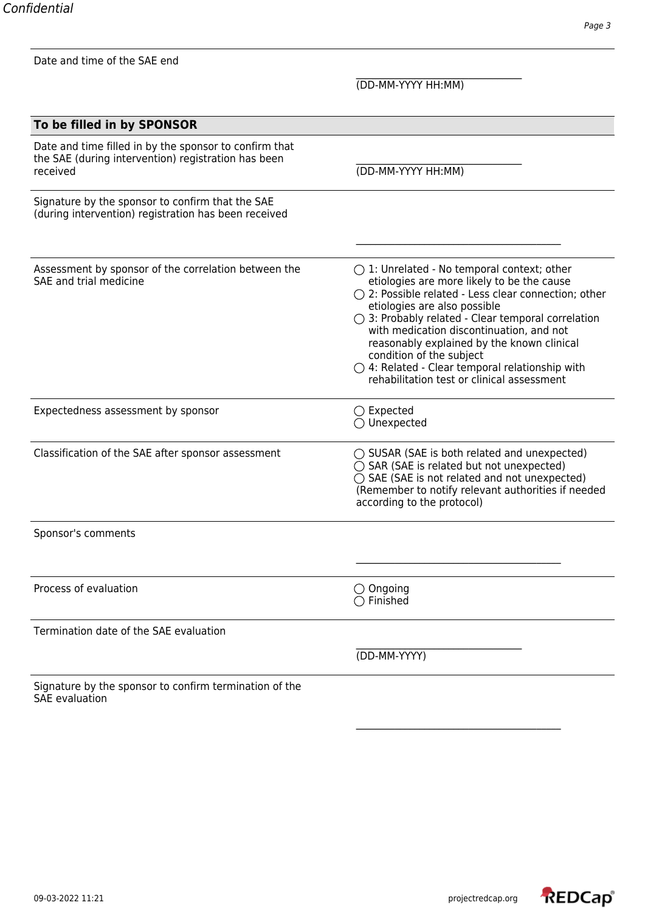| Date and time of the SAE end                                                                                              |                                                                                                                                                                                                                                                                                                                                                                                                                                                                                           |  |
|---------------------------------------------------------------------------------------------------------------------------|-------------------------------------------------------------------------------------------------------------------------------------------------------------------------------------------------------------------------------------------------------------------------------------------------------------------------------------------------------------------------------------------------------------------------------------------------------------------------------------------|--|
|                                                                                                                           | (DD-MM-YYYY HH:MM)                                                                                                                                                                                                                                                                                                                                                                                                                                                                        |  |
| To be filled in by SPONSOR                                                                                                |                                                                                                                                                                                                                                                                                                                                                                                                                                                                                           |  |
| Date and time filled in by the sponsor to confirm that<br>the SAE (during intervention) registration has been<br>received | (DD-MM-YYYY HH:MM)                                                                                                                                                                                                                                                                                                                                                                                                                                                                        |  |
| Signature by the sponsor to confirm that the SAE<br>(during intervention) registration has been received                  |                                                                                                                                                                                                                                                                                                                                                                                                                                                                                           |  |
| Assessment by sponsor of the correlation between the<br>SAE and trial medicine                                            | $\bigcirc$ 1: Unrelated - No temporal context; other<br>etiologies are more likely to be the cause<br>○ 2: Possible related - Less clear connection; other<br>etiologies are also possible<br>$\bigcirc$ 3: Probably related - Clear temporal correlation<br>with medication discontinuation, and not<br>reasonably explained by the known clinical<br>condition of the subject<br>$\bigcirc$ 4: Related - Clear temporal relationship with<br>rehabilitation test or clinical assessment |  |
| Expectedness assessment by sponsor                                                                                        | $\bigcirc$ Expected<br>$\bigcirc$ Unexpected                                                                                                                                                                                                                                                                                                                                                                                                                                              |  |
| Classification of the SAE after sponsor assessment                                                                        | $\bigcirc$ SUSAR (SAE is both related and unexpected)<br>$\bigcirc$ SAR (SAE is related but not unexpected)<br>◯ SAE (SAE is not related and not unexpected)<br>(Remember to notify relevant authorities if needed<br>according to the protocol)                                                                                                                                                                                                                                          |  |
| Sponsor's comments                                                                                                        |                                                                                                                                                                                                                                                                                                                                                                                                                                                                                           |  |
|                                                                                                                           |                                                                                                                                                                                                                                                                                                                                                                                                                                                                                           |  |
| Process of evaluation                                                                                                     | $\bigcirc$ Ongoing<br>$\bigcirc$ Finished                                                                                                                                                                                                                                                                                                                                                                                                                                                 |  |
| Termination date of the SAE evaluation                                                                                    |                                                                                                                                                                                                                                                                                                                                                                                                                                                                                           |  |
|                                                                                                                           | (DD-MM-YYYY)                                                                                                                                                                                                                                                                                                                                                                                                                                                                              |  |
| Signature by the sponsor to confirm termination of the<br><b>SAE</b> evaluation                                           |                                                                                                                                                                                                                                                                                                                                                                                                                                                                                           |  |



\_\_\_\_\_\_\_\_\_\_\_\_\_\_\_\_\_\_\_\_\_\_\_\_\_\_\_\_\_\_\_\_\_\_\_\_\_\_\_\_\_\_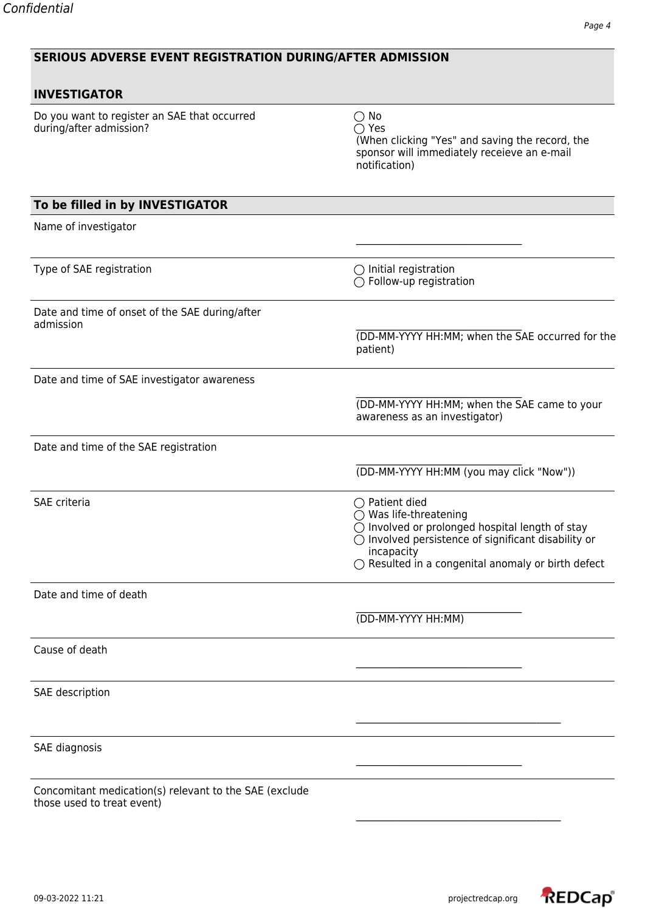|  | <b>SERIOUS ADVERSE EVENT REGISTRATION DURING/AFTER ADMISSION</b> |
|--|------------------------------------------------------------------|

| <b>INVESTIGATOR</b>                                                                  |                                                                                                                                                                                                                                                            |
|--------------------------------------------------------------------------------------|------------------------------------------------------------------------------------------------------------------------------------------------------------------------------------------------------------------------------------------------------------|
| Do you want to register an SAE that occurred<br>during/after admission?              | $\bigcirc$ No<br>$\bigcirc$ Yes<br>(When clicking "Yes" and saving the record, the<br>sponsor will immediately receieve an e-mail<br>notification)                                                                                                         |
| To be filled in by INVESTIGATOR                                                      |                                                                                                                                                                                                                                                            |
| Name of investigator                                                                 |                                                                                                                                                                                                                                                            |
| Type of SAE registration                                                             | $\bigcirc$ Initial registration<br>$\bigcirc$ Follow-up registration                                                                                                                                                                                       |
| Date and time of onset of the SAE during/after                                       |                                                                                                                                                                                                                                                            |
| admission                                                                            | (DD-MM-YYYY HH:MM; when the SAE occurred for the<br>patient)                                                                                                                                                                                               |
| Date and time of SAE investigator awareness                                          |                                                                                                                                                                                                                                                            |
|                                                                                      | (DD-MM-YYYY HH:MM; when the SAE came to your<br>awareness as an investigator)                                                                                                                                                                              |
| Date and time of the SAE registration                                                |                                                                                                                                                                                                                                                            |
|                                                                                      | (DD-MM-YYYY HH:MM (you may click "Now"))                                                                                                                                                                                                                   |
| SAE criteria                                                                         | $\bigcirc$ Patient died<br>$\bigcirc$ Was life-threatening<br>○ Involved or prolonged hospital length of stay<br>$\bigcirc$ Involved persistence of significant disability or<br>incapacity<br>$\bigcirc$ Resulted in a congenital anomaly or birth defect |
| Date and time of death                                                               |                                                                                                                                                                                                                                                            |
|                                                                                      | (DD-MM-YYYY HH:MM)                                                                                                                                                                                                                                         |
| Cause of death                                                                       |                                                                                                                                                                                                                                                            |
| SAE description                                                                      |                                                                                                                                                                                                                                                            |
| SAE diagnosis                                                                        |                                                                                                                                                                                                                                                            |
| Concomitant medication(s) relevant to the SAE (exclude<br>those used to treat event) |                                                                                                                                                                                                                                                            |

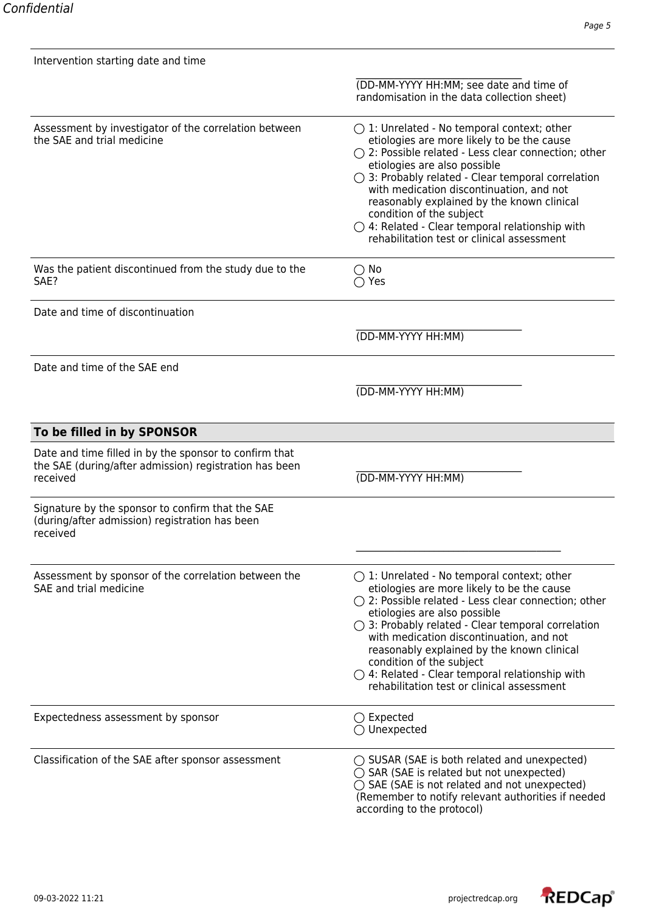| Intervention starting date and time                                                                                          |                                                                                                                                                                                                                                                                                                                                                                                                                                                                                                    |
|------------------------------------------------------------------------------------------------------------------------------|----------------------------------------------------------------------------------------------------------------------------------------------------------------------------------------------------------------------------------------------------------------------------------------------------------------------------------------------------------------------------------------------------------------------------------------------------------------------------------------------------|
|                                                                                                                              | (DD-MM-YYYY HH:MM; see date and time of<br>randomisation in the data collection sheet)                                                                                                                                                                                                                                                                                                                                                                                                             |
| Assessment by investigator of the correlation between<br>the SAE and trial medicine                                          | $\bigcirc$ 1: Unrelated - No temporal context; other<br>etiologies are more likely to be the cause<br>$\bigcirc$ 2: Possible related - Less clear connection; other<br>etiologies are also possible<br>$\bigcirc$ 3: Probably related - Clear temporal correlation<br>with medication discontinuation, and not<br>reasonably explained by the known clinical<br>condition of the subject<br>$\bigcirc$ 4: Related - Clear temporal relationship with<br>rehabilitation test or clinical assessment |
| Was the patient discontinued from the study due to the<br>SAE?                                                               | $\bigcirc$ No<br>$\bigcirc$ Yes                                                                                                                                                                                                                                                                                                                                                                                                                                                                    |
| Date and time of discontinuation                                                                                             |                                                                                                                                                                                                                                                                                                                                                                                                                                                                                                    |
|                                                                                                                              | (DD-MM-YYYY HH:MM)                                                                                                                                                                                                                                                                                                                                                                                                                                                                                 |
| Date and time of the SAE end                                                                                                 |                                                                                                                                                                                                                                                                                                                                                                                                                                                                                                    |
|                                                                                                                              | (DD-MM-YYYY HH:MM)                                                                                                                                                                                                                                                                                                                                                                                                                                                                                 |
| To be filled in by SPONSOR                                                                                                   |                                                                                                                                                                                                                                                                                                                                                                                                                                                                                                    |
| Date and time filled in by the sponsor to confirm that<br>the SAE (during/after admission) registration has been<br>received | (DD-MM-YYYY HH:MM)                                                                                                                                                                                                                                                                                                                                                                                                                                                                                 |
| Signature by the sponsor to confirm that the SAE<br>(during/after admission) registration has been<br>received               |                                                                                                                                                                                                                                                                                                                                                                                                                                                                                                    |
| Assessment by sponsor of the correlation between the<br>SAE and trial medicine                                               | $\bigcirc$ 1: Unrelated - No temporal context; other<br>etiologies are more likely to be the cause<br>$\bigcirc$ 2: Possible related - Less clear connection; other<br>etiologies are also possible<br>$\bigcirc$ 3: Probably related - Clear temporal correlation<br>with medication discontinuation, and not<br>reasonably explained by the known clinical<br>condition of the subject<br>$\bigcirc$ 4: Related - Clear temporal relationship with<br>rehabilitation test or clinical assessment |
| Expectedness assessment by sponsor                                                                                           | $\bigcirc$ Expected<br>$\bigcirc$ Unexpected                                                                                                                                                                                                                                                                                                                                                                                                                                                       |
| Classification of the SAE after sponsor assessment                                                                           | $\bigcirc$ SUSAR (SAE is both related and unexpected)<br>$\bigcirc$ SAR (SAE is related but not unexpected)<br>◯ SAE (SAE is not related and not unexpected)<br>(Remember to notify relevant authorities if needed<br>according to the protocol)                                                                                                                                                                                                                                                   |

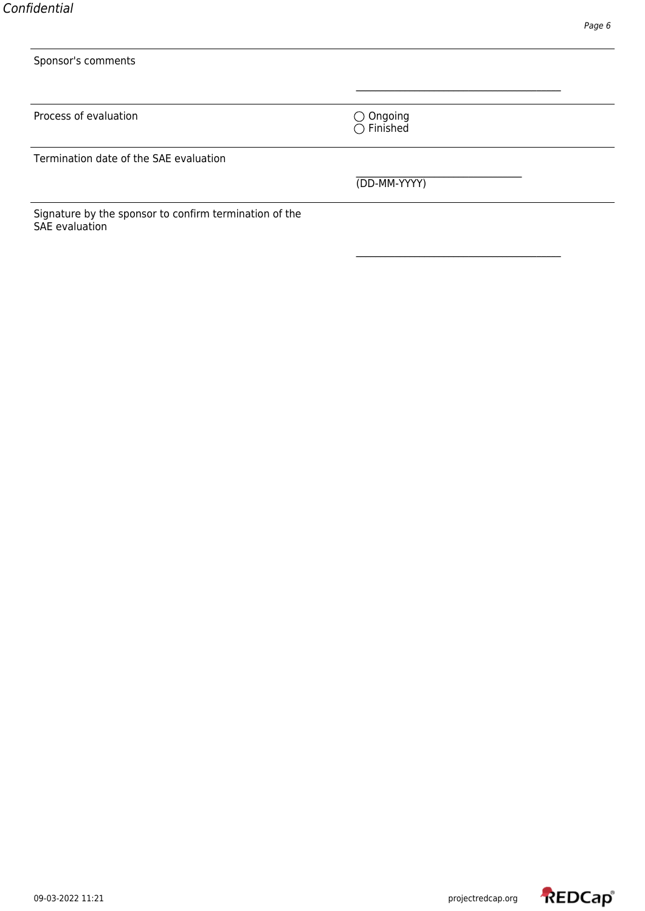| Sponsor's comments                                                              |                                           |
|---------------------------------------------------------------------------------|-------------------------------------------|
|                                                                                 |                                           |
| Process of evaluation                                                           | $\bigcirc$ Ongoing<br>$\bigcirc$ Finished |
| Termination date of the SAE evaluation                                          |                                           |
|                                                                                 | (DD-MM-YYYY)                              |
| Signature by the sponsor to confirm termination of the<br><b>SAE</b> evaluation |                                           |

\_\_\_\_\_\_\_\_\_\_\_\_\_\_\_\_\_\_\_\_\_\_\_\_\_\_\_\_\_\_\_\_\_\_\_\_\_\_\_\_\_\_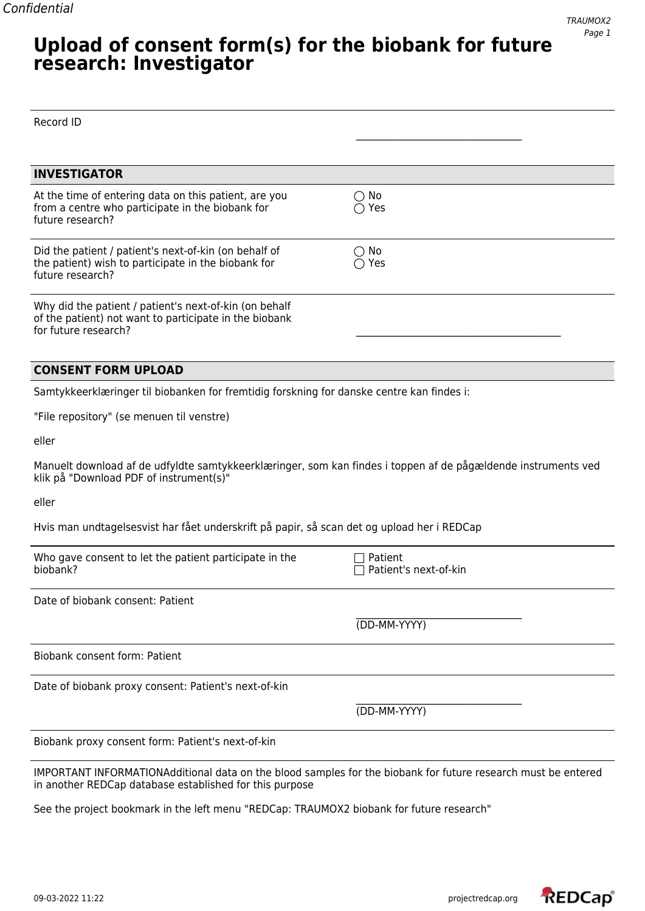### **Upload of consent form(s) for the biobank for future research: Investigator**

| Record ID                                                                                                                                                                |                                  |
|--------------------------------------------------------------------------------------------------------------------------------------------------------------------------|----------------------------------|
|                                                                                                                                                                          |                                  |
| <b>INVESTIGATOR</b>                                                                                                                                                      |                                  |
| At the time of entering data on this patient, are you<br>from a centre who participate in the biobank for<br>future research?                                            | $\bigcirc$ No<br>$\bigcirc$ Yes  |
| Did the patient / patient's next-of-kin (on behalf of<br>the patient) wish to participate in the biobank for<br>future research?                                         | $\bigcirc$ No<br>$\bigcirc$ Yes  |
| Why did the patient / patient's next-of-kin (on behalf<br>of the patient) not want to participate in the biobank<br>for future research?                                 |                                  |
| <b>CONSENT FORM UPLOAD</b>                                                                                                                                               |                                  |
| Samtykkeerklæringer til biobanken for fremtidig forskning for danske centre kan findes i:                                                                                |                                  |
| "File repository" (se menuen til venstre)                                                                                                                                |                                  |
| eller                                                                                                                                                                    |                                  |
| Manuelt download af de udfyldte samtykkeerklæringer, som kan findes i toppen af de pågældende instruments ved<br>klik på "Download PDF of instrument(s)"                 |                                  |
| eller                                                                                                                                                                    |                                  |
| Hvis man undtagelsesvist har fået underskrift på papir, så scan det og upload her i REDCap                                                                               |                                  |
| Who gave consent to let the patient participate in the<br>biobank?                                                                                                       | Patient<br>Patient's next-of-kin |
| Date of biobank consent: Patient                                                                                                                                         |                                  |
|                                                                                                                                                                          | (DD-MM-YYYY)                     |
| <b>Biobank consent form: Patient</b>                                                                                                                                     |                                  |
| Date of biobank proxy consent: Patient's next-of-kin                                                                                                                     |                                  |
|                                                                                                                                                                          | (DD-MM-YYYY)                     |
| Biobank proxy consent form: Patient's next-of-kin                                                                                                                        |                                  |
| IMPORTANT INFORMATIONAdditional data on the blood samples for the biobank for future research must be entered<br>in another REDCap database established for this purpose |                                  |

See the project bookmark in the left menu "REDCap: TRAUMOX2 biobank for future research"

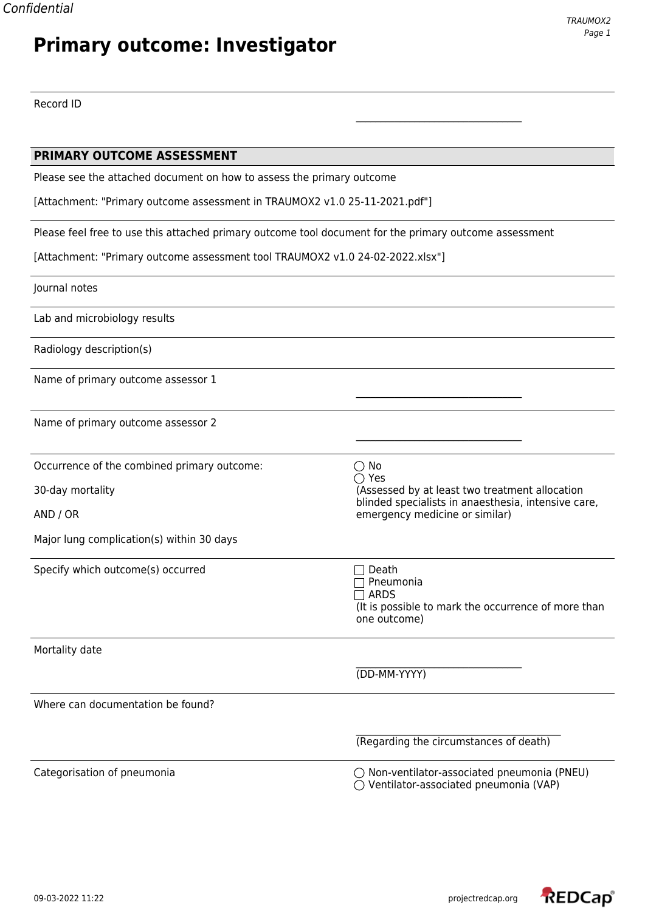# **Primary outcome: Investigator**

\_\_\_\_\_\_\_\_\_\_\_\_\_\_\_\_\_\_\_\_\_\_\_\_\_\_\_\_\_\_\_\_\_\_

Record ID

| PRIMARY OUTCOME ASSESSMENT                                                                             |                                                                                                |  |
|--------------------------------------------------------------------------------------------------------|------------------------------------------------------------------------------------------------|--|
| Please see the attached document on how to assess the primary outcome                                  |                                                                                                |  |
| [Attachment: "Primary outcome assessment in TRAUMOX2 v1.0 25-11-2021.pdf"]                             |                                                                                                |  |
| Please feel free to use this attached primary outcome tool document for the primary outcome assessment |                                                                                                |  |
| [Attachment: "Primary outcome assessment tool TRAUMOX2 v1.0 24-02-2022.xlsx"]                          |                                                                                                |  |
| Journal notes                                                                                          |                                                                                                |  |
| Lab and microbiology results                                                                           |                                                                                                |  |
| Radiology description(s)                                                                               |                                                                                                |  |
| Name of primary outcome assessor 1                                                                     |                                                                                                |  |
| Name of primary outcome assessor 2                                                                     |                                                                                                |  |
| Occurrence of the combined primary outcome:                                                            | $\bigcirc$ No                                                                                  |  |
| 30-day mortality                                                                                       | $\bigcirc$ Yes<br>(Assessed by at least two treatment allocation                               |  |
| AND / OR                                                                                               | blinded specialists in anaesthesia, intensive care,<br>emergency medicine or similar)          |  |
| Major lung complication(s) within 30 days                                                              |                                                                                                |  |
| Specify which outcome(s) occurred                                                                      | Death                                                                                          |  |
|                                                                                                        | Pneumonia<br><b>ARDS</b>                                                                       |  |
|                                                                                                        | (It is possible to mark the occurrence of more than<br>one outcome)                            |  |
| Mortality date                                                                                         |                                                                                                |  |
|                                                                                                        | (DD-MM-YYYY)                                                                                   |  |
| Where can documentation be found?                                                                      |                                                                                                |  |
|                                                                                                        | (Regarding the circumstances of death)                                                         |  |
| Categorisation of pneumonia                                                                            | $\bigcirc$ Non-ventilator-associated pneumonia (PNEU)<br>Ventilator-associated pneumonia (VAP) |  |

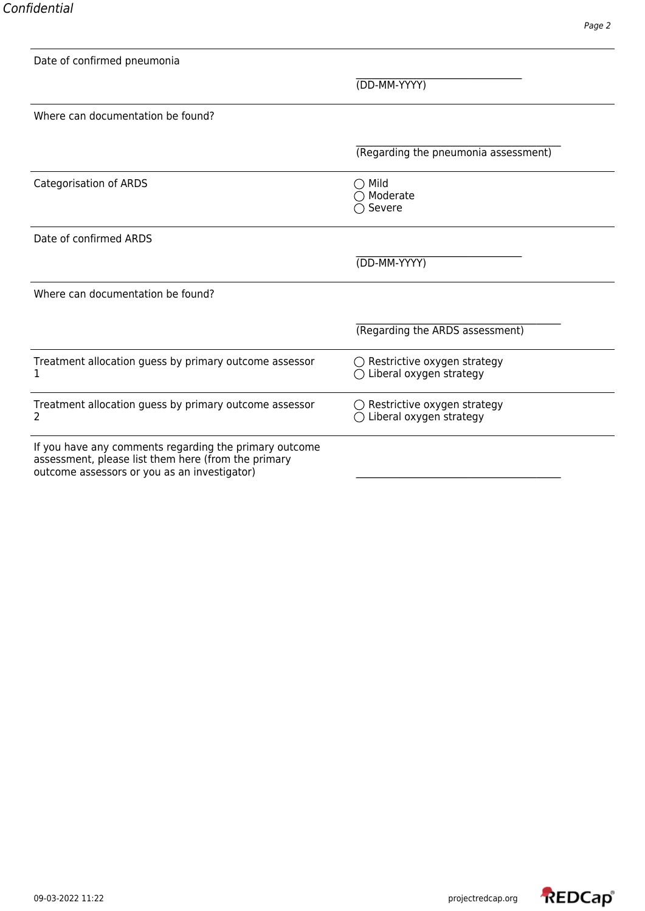| ł |
|---|
|---|

| Date of confirmed pneumonia                                                                                                                                   |                                                                   |
|---------------------------------------------------------------------------------------------------------------------------------------------------------------|-------------------------------------------------------------------|
|                                                                                                                                                               | (DD-MM-YYYY)                                                      |
| Where can documentation be found?                                                                                                                             |                                                                   |
|                                                                                                                                                               | (Regarding the pneumonia assessment)                              |
| <b>Categorisation of ARDS</b>                                                                                                                                 | $\bigcirc$ Mild<br>$\bigcirc$ Moderate<br>$\bigcirc$ Severe       |
| Date of confirmed ARDS                                                                                                                                        |                                                                   |
|                                                                                                                                                               | (DD-MM-YYYY)                                                      |
| Where can documentation be found?                                                                                                                             |                                                                   |
|                                                                                                                                                               | (Regarding the ARDS assessment)                                   |
| Treatment allocation guess by primary outcome assessor<br>1                                                                                                   | $\bigcirc$ Restrictive oxygen strategy<br>Liberal oxygen strategy |
| Treatment allocation guess by primary outcome assessor<br>2                                                                                                   | $\bigcirc$ Restrictive oxygen strategy<br>Liberal oxygen strategy |
| If you have any comments regarding the primary outcome<br>assessment, please list them here (from the primary<br>outcome assessors or you as an investigator) |                                                                   |

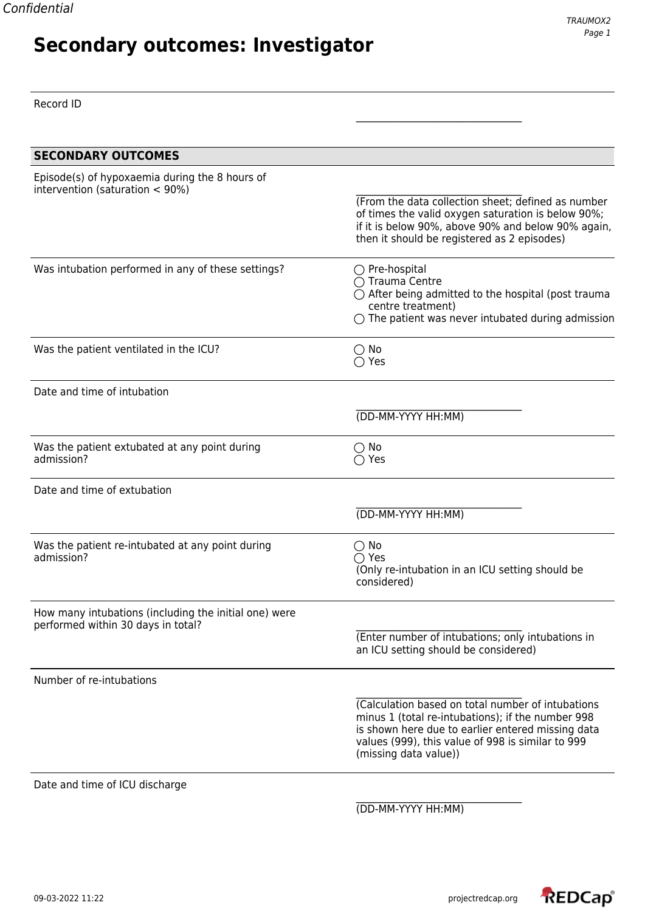Record ID

| <b>SECONDARY OUTCOMES</b>                                                                   |                                                                                                                                                                                                                                           |
|---------------------------------------------------------------------------------------------|-------------------------------------------------------------------------------------------------------------------------------------------------------------------------------------------------------------------------------------------|
| Episode(s) of hypoxaemia during the 8 hours of<br>intervention (saturation $<$ 90%)         | (From the data collection sheet; defined as number<br>of times the valid oxygen saturation is below 90%;<br>if it is below 90%, above 90% and below 90% again,<br>then it should be registered as 2 episodes)                             |
| Was intubation performed in any of these settings?                                          | $\bigcirc$ Pre-hospital<br>$\bigcap$ Trauma Centre<br>$\bigcirc$ After being admitted to the hospital (post trauma<br>centre treatment)<br>$\bigcirc$ The patient was never intubated during admission                                    |
| Was the patient ventilated in the ICU?                                                      | $\bigcirc$ No<br>$\bigcirc$ Yes                                                                                                                                                                                                           |
| Date and time of intubation                                                                 |                                                                                                                                                                                                                                           |
|                                                                                             | (DD-MM-YYYY HH:MM)                                                                                                                                                                                                                        |
| Was the patient extubated at any point during<br>admission?                                 | $\bigcirc$ No<br>$\bigcirc$ Yes                                                                                                                                                                                                           |
| Date and time of extubation                                                                 |                                                                                                                                                                                                                                           |
|                                                                                             | (DD-MM-YYYY HH:MM)                                                                                                                                                                                                                        |
| Was the patient re-intubated at any point during<br>admission?                              | $\bigcirc$ No<br>$\bigcirc$ Yes<br>(Only re-intubation in an ICU setting should be<br>considered)                                                                                                                                         |
| How many intubations (including the initial one) were<br>performed within 30 days in total? | (Enter number of intubations; only intubations in<br>an ICU setting should be considered)                                                                                                                                                 |
| Number of re-intubations                                                                    |                                                                                                                                                                                                                                           |
|                                                                                             | (Calculation based on total number of intubations<br>minus 1 (total re-intubations); if the number 998<br>is shown here due to earlier entered missing data<br>values (999), this value of 998 is similar to 999<br>(missing data value)) |
| Date and time of ICU discharge                                                              |                                                                                                                                                                                                                                           |
|                                                                                             |                                                                                                                                                                                                                                           |

(DD-MM-YYYY HH:MM)

\_\_\_\_\_\_\_\_\_\_\_\_\_\_\_\_\_\_\_\_\_\_\_\_\_\_\_\_\_\_\_\_\_\_

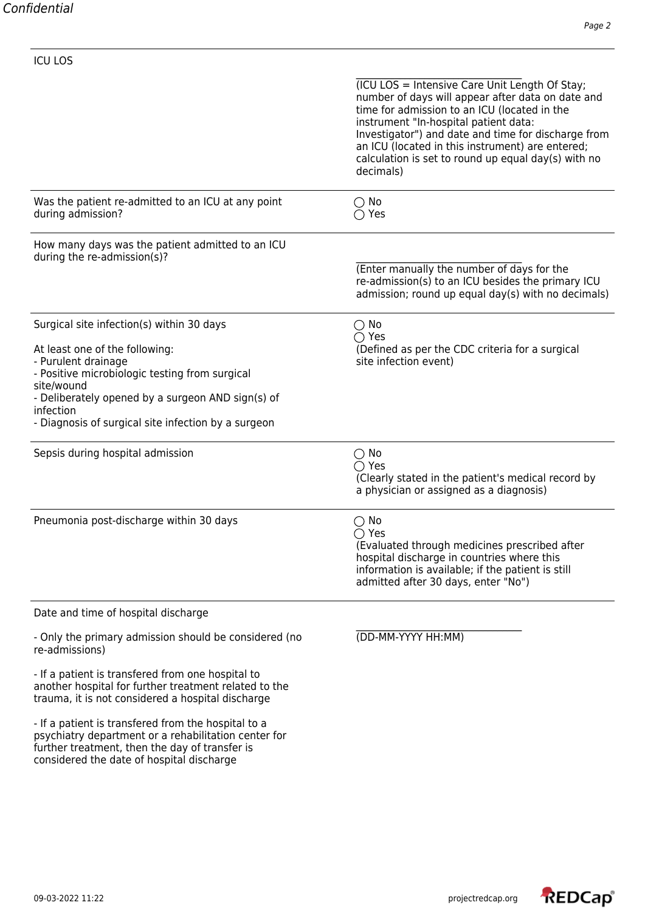| <b>ICU LOS</b>                                                                                                                                                                                                                                                                              |                                                                                                                                                                                                                                                                                                                                                                             |
|---------------------------------------------------------------------------------------------------------------------------------------------------------------------------------------------------------------------------------------------------------------------------------------------|-----------------------------------------------------------------------------------------------------------------------------------------------------------------------------------------------------------------------------------------------------------------------------------------------------------------------------------------------------------------------------|
|                                                                                                                                                                                                                                                                                             | (ICU LOS = Intensive Care Unit Length Of Stay;<br>number of days will appear after data on date and<br>time for admission to an ICU (located in the<br>instrument "In-hospital patient data:<br>Investigator") and date and time for discharge from<br>an ICU (located in this instrument) are entered;<br>calculation is set to round up equal day(s) with no<br>decimals) |
| Was the patient re-admitted to an ICU at any point<br>during admission?                                                                                                                                                                                                                     | $\bigcirc$ No<br>$\bigcirc$ Yes                                                                                                                                                                                                                                                                                                                                             |
| How many days was the patient admitted to an ICU<br>during the re-admission(s)?                                                                                                                                                                                                             | (Enter manually the number of days for the<br>re-admission(s) to an ICU besides the primary ICU<br>admission; round up equal day(s) with no decimals)                                                                                                                                                                                                                       |
| Surgical site infection(s) within 30 days<br>At least one of the following:<br>- Purulent drainage<br>- Positive microbiologic testing from surgical<br>site/wound<br>- Deliberately opened by a surgeon AND sign(s) of<br>infection<br>- Diagnosis of surgical site infection by a surgeon | $\bigcirc$ No<br>$\bigcirc$ Yes<br>(Defined as per the CDC criteria for a surgical<br>site infection event)                                                                                                                                                                                                                                                                 |
| Sepsis during hospital admission                                                                                                                                                                                                                                                            | $\bigcirc$ No<br>$\bigcap$ Yes<br>(Clearly stated in the patient's medical record by<br>a physician or assigned as a diagnosis)                                                                                                                                                                                                                                             |
| Pneumonia post-discharge within 30 days                                                                                                                                                                                                                                                     | $\bigcirc$ No<br>$\bigcirc$ Yes<br>(Evaluated through medicines prescribed after<br>hospital discharge in countries where this<br>information is available; if the patient is still<br>admitted after 30 days, enter "No")                                                                                                                                                  |
| Date and time of hospital discharge                                                                                                                                                                                                                                                         |                                                                                                                                                                                                                                                                                                                                                                             |
| - Only the primary admission should be considered (no<br>re-admissions)                                                                                                                                                                                                                     | (DD-MM-YYYY HH:MM)                                                                                                                                                                                                                                                                                                                                                          |
| - If a patient is transfered from one hospital to<br>another hospital for further treatment related to the<br>trauma, it is not considered a hospital discharge                                                                                                                             |                                                                                                                                                                                                                                                                                                                                                                             |
| - If a patient is transfered from the hospital to a<br>psychiatry department or a rehabilitation center for<br>further treatment, then the day of transfer is<br>considered the date of hospital discharge                                                                                  |                                                                                                                                                                                                                                                                                                                                                                             |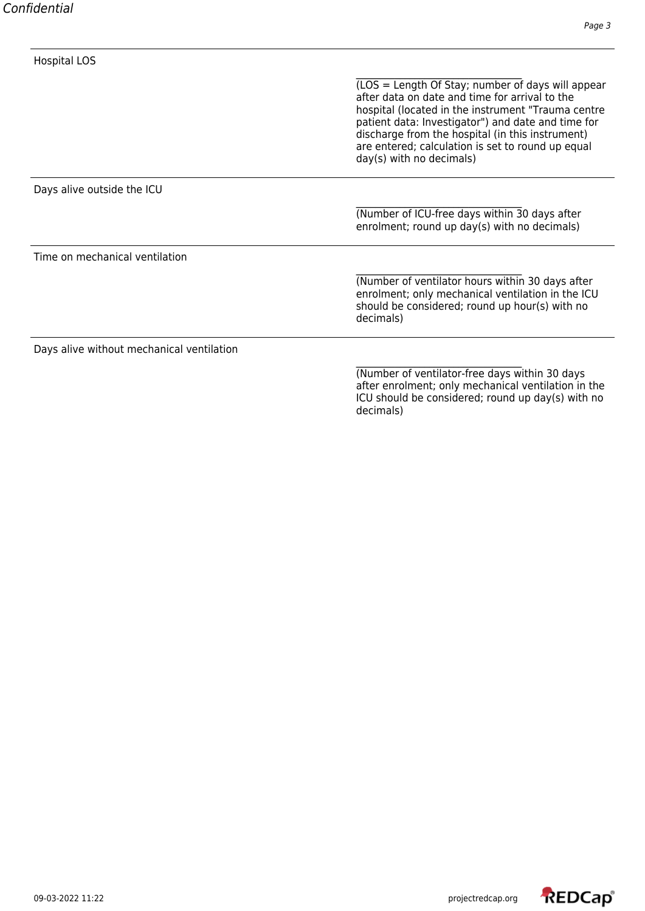| <b>Hospital LOS</b>                       |                                                                                                                                                                                                                                                                                                                                                      |
|-------------------------------------------|------------------------------------------------------------------------------------------------------------------------------------------------------------------------------------------------------------------------------------------------------------------------------------------------------------------------------------------------------|
|                                           | (LOS = Length Of Stay; number of days will appear<br>after data on date and time for arrival to the<br>hospital (located in the instrument "Trauma centre<br>patient data: Investigator") and date and time for<br>discharge from the hospital (in this instrument)<br>are entered; calculation is set to round up equal<br>day(s) with no decimals) |
| Days alive outside the ICU                |                                                                                                                                                                                                                                                                                                                                                      |
|                                           | (Number of ICU-free days within 30 days after<br>enrolment; round up day(s) with no decimals)                                                                                                                                                                                                                                                        |
| Time on mechanical ventilation            |                                                                                                                                                                                                                                                                                                                                                      |
|                                           | (Number of ventilator hours within 30 days after<br>enrolment; only mechanical ventilation in the ICU<br>should be considered; round up hour(s) with no<br>decimals)                                                                                                                                                                                 |
| Days alive without mechanical ventilation |                                                                                                                                                                                                                                                                                                                                                      |
|                                           | (Number of ventilator-free days within 30 days<br>after enrolment; only mechanical ventilation in the<br>ICU should be considered; round up day(s) with no<br>decimals)                                                                                                                                                                              |

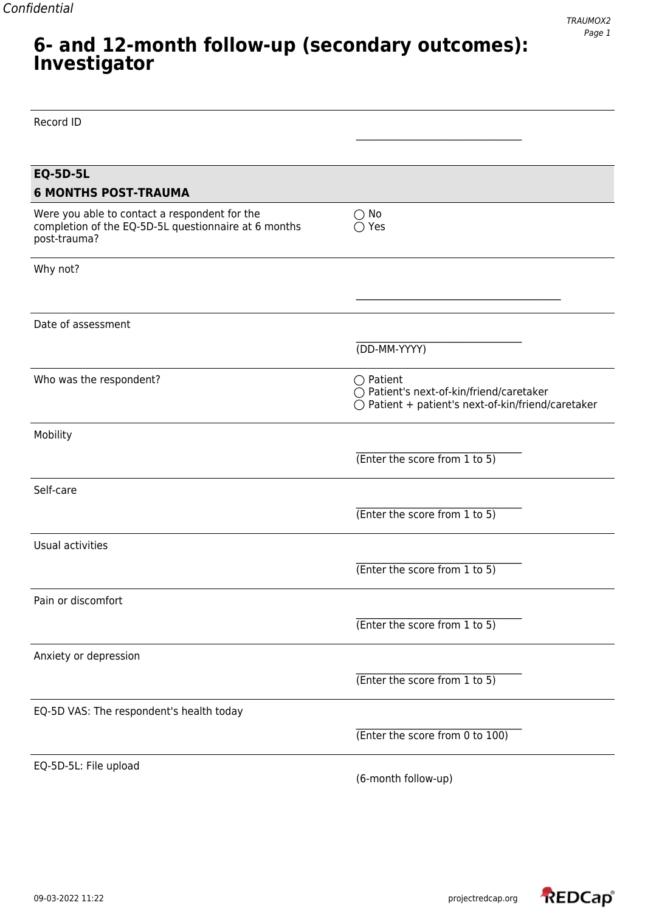### **6- and 12-month follow-up (secondary outcomes): Investigator**

| Record ID                                                                                                             |                                                                                                                      |
|-----------------------------------------------------------------------------------------------------------------------|----------------------------------------------------------------------------------------------------------------------|
|                                                                                                                       |                                                                                                                      |
| <b>EQ-5D-5L</b>                                                                                                       |                                                                                                                      |
| <b>6 MONTHS POST-TRAUMA</b>                                                                                           |                                                                                                                      |
| Were you able to contact a respondent for the<br>completion of the EQ-5D-5L questionnaire at 6 months<br>post-trauma? | $\bigcirc$ No<br>$\bigcirc$ Yes                                                                                      |
| Why not?                                                                                                              |                                                                                                                      |
|                                                                                                                       |                                                                                                                      |
| Date of assessment                                                                                                    |                                                                                                                      |
|                                                                                                                       | (DD-MM-YYYY)                                                                                                         |
| Who was the respondent?                                                                                               | $\bigcirc$ Patient<br>◯ Patient's next-of-kin/friend/caretaker<br>○ Patient + patient's next-of-kin/friend/caretaker |
| Mobility                                                                                                              |                                                                                                                      |
|                                                                                                                       | (Enter the score from 1 to 5)                                                                                        |
| Self-care                                                                                                             |                                                                                                                      |
|                                                                                                                       | (Enter the score from 1 to 5)                                                                                        |
| Usual activities                                                                                                      |                                                                                                                      |
|                                                                                                                       | (Enter the score from 1 to 5)                                                                                        |
| Pain or discomfort                                                                                                    |                                                                                                                      |
|                                                                                                                       | (Enter the score from 1 to 5)                                                                                        |
| Anxiety or depression                                                                                                 |                                                                                                                      |
|                                                                                                                       | (Enter the score from 1 to 5)                                                                                        |
| EQ-5D VAS: The respondent's health today                                                                              |                                                                                                                      |
|                                                                                                                       | (Enter the score from 0 to 100)                                                                                      |
| EQ-5D-5L: File upload                                                                                                 | (6-month follow-up)                                                                                                  |

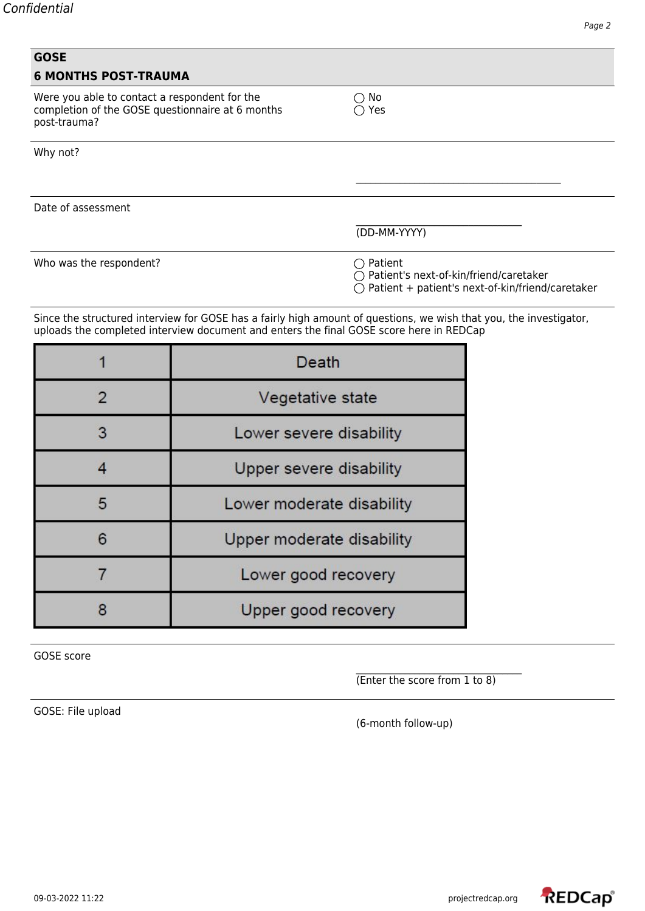| <b>GOSE</b>                                                                                                       |                                                                                                                                                                                                               |                                                                |                                                  |
|-------------------------------------------------------------------------------------------------------------------|---------------------------------------------------------------------------------------------------------------------------------------------------------------------------------------------------------------|----------------------------------------------------------------|--------------------------------------------------|
| <b>6 MONTHS POST-TRAUMA</b>                                                                                       |                                                                                                                                                                                                               |                                                                |                                                  |
| Were you able to contact a respondent for the<br>completion of the GOSE questionnaire at 6 months<br>post-trauma? |                                                                                                                                                                                                               | No<br>Yes                                                      |                                                  |
| Why not?                                                                                                          |                                                                                                                                                                                                               |                                                                |                                                  |
|                                                                                                                   |                                                                                                                                                                                                               |                                                                |                                                  |
| Date of assessment                                                                                                |                                                                                                                                                                                                               |                                                                |                                                  |
|                                                                                                                   |                                                                                                                                                                                                               | (DD-MM-YYYY)                                                   |                                                  |
| Who was the respondent?                                                                                           |                                                                                                                                                                                                               | $\bigcirc$ Patient<br>◯ Patient's next-of-kin/friend/caretaker | Patient + patient's next-of-kin/friend/caretaker |
|                                                                                                                   | Since the structured interview for GOSE has a fairly high amount of questions, we wish that you, the investigator,<br>uploads the completed interview document and enters the final GOSE score here in REDCap |                                                                |                                                  |
| 1                                                                                                                 | <b>Death</b>                                                                                                                                                                                                  |                                                                |                                                  |
| 2                                                                                                                 | Vegetative state                                                                                                                                                                                              |                                                                |                                                  |
| 3                                                                                                                 | Lower severe disability                                                                                                                                                                                       |                                                                |                                                  |
| $\overline{4}$                                                                                                    | Upper severe disability                                                                                                                                                                                       |                                                                |                                                  |
| 5                                                                                                                 | Lower moderate disability                                                                                                                                                                                     |                                                                |                                                  |
| 6                                                                                                                 | Upper moderate disability                                                                                                                                                                                     |                                                                |                                                  |
| 7                                                                                                                 | Lower good recovery                                                                                                                                                                                           |                                                                |                                                  |
| 8                                                                                                                 | Upper good recovery                                                                                                                                                                                           |                                                                |                                                  |

GOSE score

\_\_\_\_\_\_\_\_\_\_\_\_\_\_\_\_\_\_\_\_\_\_\_\_\_\_\_\_\_\_\_\_\_\_ (Enter the score from 1 to 8)

GOSE: File upload

(6-month follow-up)

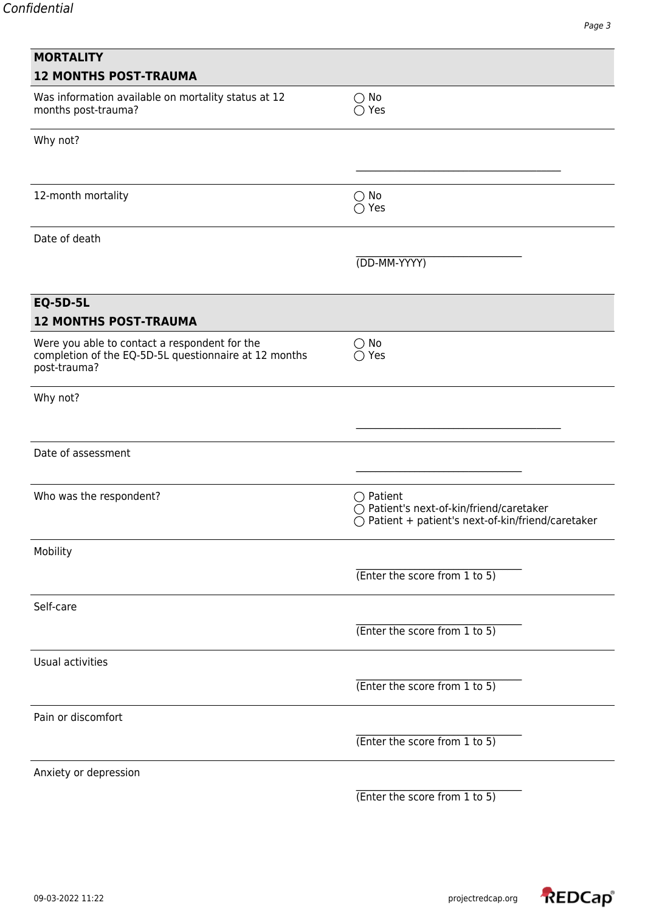| <b>MORTALITY</b><br><b>12 MONTHS POST-TRAUMA</b>                                                                       |                                                                                                                               |
|------------------------------------------------------------------------------------------------------------------------|-------------------------------------------------------------------------------------------------------------------------------|
| Was information available on mortality status at 12<br>months post-trauma?                                             | $\bigcirc$ No<br>$\bigcirc$ Yes                                                                                               |
| Why not?                                                                                                               |                                                                                                                               |
| 12-month mortality                                                                                                     | $\bigcirc$ No<br>$\bigcirc$ Yes                                                                                               |
| Date of death                                                                                                          |                                                                                                                               |
|                                                                                                                        | (DD-MM-YYYY)                                                                                                                  |
| <b>EQ-5D-5L</b><br><b>12 MONTHS POST-TRAUMA</b>                                                                        |                                                                                                                               |
| Were you able to contact a respondent for the<br>completion of the EQ-5D-5L questionnaire at 12 months<br>post-trauma? | $\bigcirc$ No<br>$\bigcirc$ Yes                                                                                               |
| Why not?                                                                                                               |                                                                                                                               |
| Date of assessment                                                                                                     |                                                                                                                               |
| Who was the respondent?                                                                                                | $\bigcirc$ Patient<br>○ Patient's next-of-kin/friend/caretaker<br>$\bigcirc$ Patient + patient's next-of-kin/friend/caretaker |
| Mobility                                                                                                               |                                                                                                                               |
|                                                                                                                        | (Enter the score from 1 to 5)                                                                                                 |
| Self-care                                                                                                              |                                                                                                                               |
|                                                                                                                        | (Enter the score from 1 to 5)                                                                                                 |
| Usual activities                                                                                                       |                                                                                                                               |
|                                                                                                                        | (Enter the score from 1 to 5)                                                                                                 |
| Pain or discomfort                                                                                                     |                                                                                                                               |
|                                                                                                                        | (Enter the score from 1 to 5)                                                                                                 |
| Anxiety or depression                                                                                                  |                                                                                                                               |

(Enter the score from 1 to 5)